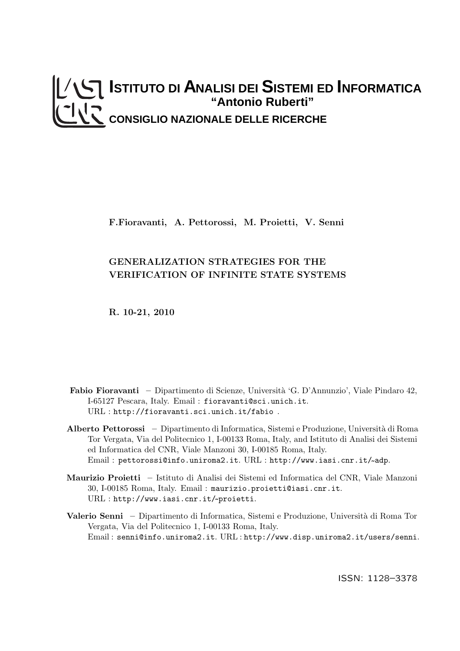# **ISTITUTO DI ANALISI DEI SISTEMI ED INFORMATICA "Antonio Ruberti" CONSIGLIO NAZIONALE DELLE RICERCHE**

F.Fioravanti, A. Pettorossi, M. Proietti, V. Senni

# GENERALIZATION STRATEGIES FOR THE VERIFICATION OF INFINITE STATE SYSTEMS

R. 10-21, 2010

- Fabio Fioravanti Dipartimento di Scienze, Università 'G. D'Annunzio', Viale Pindaro 42, I-65127 Pescara, Italy. Email : fioravanti@sci.unich.it. URL : http://fioravanti.sci.unich.it/fabio .
- Alberto Pettorossi Dipartimento di Informatica, Sistemi e Produzione, Universit`a di Roma Tor Vergata, Via del Politecnico 1, I-00133 Roma, Italy, and Istituto di Analisi dei Sistemi ed Informatica del CNR, Viale Manzoni 30, I-00185 Roma, Italy. Email : pettorossi@info.uniroma2.it. URL : http://www.iasi.cnr.it/~ adp.
- Maurizio Proietti Istituto di Analisi dei Sistemi ed Informatica del CNR, Viale Manzoni 30, I-00185 Roma, Italy. Email : maurizio.proietti@iasi.cnr.it. URL : http://www.iasi.cnr.it/~ proietti.
- Valerio Senni Dipartimento di Informatica, Sistemi e Produzione, Università di Roma Tor Vergata, Via del Politecnico 1, I-00133 Roma, Italy. Email : senni@info.uniroma2.it. URL : http://www.disp.uniroma2.it/users/senni.

ISSN: 1128–3378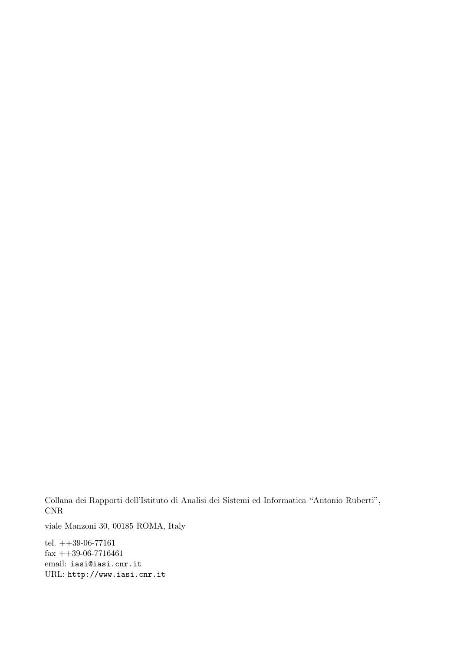Collana dei Rapporti dell'Istituto di Analisi dei Sistemi ed Informatica "Antonio Ruberti", CNR

viale Manzoni 30, 00185 ROMA, Italy

tel.  $++39-06-77161$  $fax ++39-06-7716461$ email: iasi@iasi.cnr.it URL: http://www.iasi.cnr.it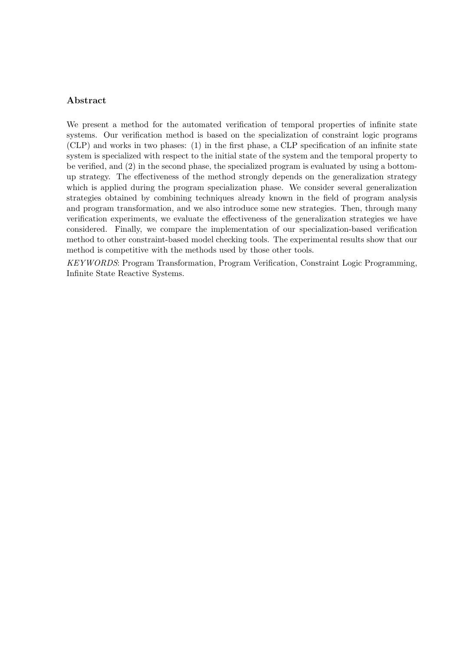# Abstract

We present a method for the automated verification of temporal properties of infinite state systems. Our verification method is based on the specialization of constraint logic programs (CLP) and works in two phases: (1) in the first phase, a CLP specification of an infinite state system is specialized with respect to the initial state of the system and the temporal property to be verified, and (2) in the second phase, the specialized program is evaluated by using a bottomup strategy. The effectiveness of the method strongly depends on the generalization strategy which is applied during the program specialization phase. We consider several generalization strategies obtained by combining techniques already known in the field of program analysis and program transformation, and we also introduce some new strategies. Then, through many verification experiments, we evaluate the effectiveness of the generalization strategies we have considered. Finally, we compare the implementation of our specialization-based verification method to other constraint-based model checking tools. The experimental results show that our method is competitive with the methods used by those other tools.

KEYWORDS: Program Transformation, Program Verification, Constraint Logic Programming, Infinite State Reactive Systems.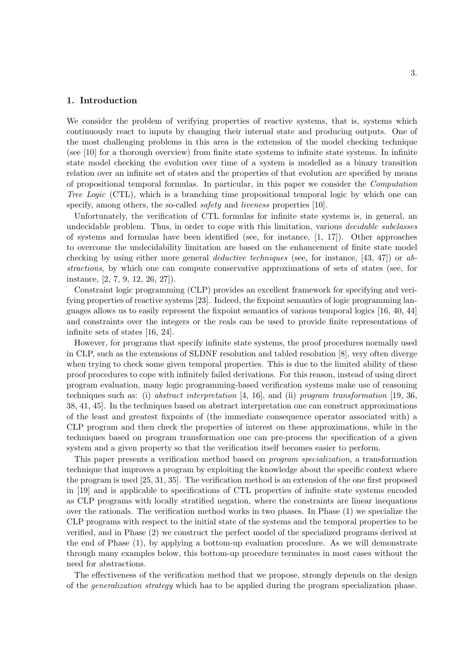#### 1. Introduction

We consider the problem of verifying properties of reactive systems, that is, systems which continuously react to inputs by changing their internal state and producing outputs. One of the most challenging problems in this area is the extension of the model checking technique (see [10] for a thorough overview) from finite state systems to infinite state systems. In infinite state model checking the evolution over time of a system is modelled as a binary transition relation over an infinite set of states and the properties of that evolution are specified by means of propositional temporal formulas. In particular, in this paper we consider the Computation Tree Logic (CTL), which is a branching time propositional temporal logic by which one can specify, among others, the so-called *safety* and *liveness* properties [10].

Unfortunately, the verification of CTL formulas for infinite state systems is, in general, an undecidable problem. Thus, in order to cope with this limitation, various *decidable subclasses* of systems and formulas have been identified (see, for instance, [1, 17]). Other approaches to overcome the undecidability limitation are based on the enhancement of finite state model checking by using either more general *deductive techniques* (see, for instance,  $[43, 47]$ ) or abstractions, by which one can compute conservative approximations of sets of states (see, for instance, [2, 7, 9, 12, 26, 27]).

Constraint logic programming (CLP) provides an excellent framework for specifying and verifying properties of reactive systems [23]. Indeed, the fixpoint semantics of logic programming languages allows us to easily represent the fixpoint semantics of various temporal logics [16, 40, 44] and constraints over the integers or the reals can be used to provide finite representations of infinite sets of states [16, 24].

However, for programs that specify infinite state systems, the proof procedures normally used in CLP, such as the extensions of SLDNF resolution and tabled resolution [8], very often diverge when trying to check some given temporal properties. This is due to the limited ability of these proof procedures to cope with infinitely failed derivations. For this reason, instead of using direct program evaluation, many logic programming-based verification systems make use of reasoning techniques such as: (i) abstract interpretation [4, 16], and (ii) program transformation [19, 36, 38, 41, 45]. In the techniques based on abstract interpretation one can construct approximations of the least and greatest fixpoints of (the immediate consequence operator associated with) a CLP program and then check the properties of interest on these approximations, while in the techniques based on program transformation one can pre-process the specification of a given system and a given property so that the verification itself becomes easier to perform.

This paper presents a verification method based on program specialization, a transformation technique that improves a program by exploiting the knowledge about the specific context where the program is used [25, 31, 35]. The verification method is an extension of the one first proposed in [19] and is applicable to specifications of CTL properties of infinite state systems encoded as CLP programs with locally stratified negation, where the constraints are linear inequations over the rationals. The verification method works in two phases. In Phase (1) we specialize the CLP programs with respect to the initial state of the systems and the temporal properties to be verified, and in Phase (2) we construct the perfect model of the specialized programs derived at the end of Phase (1), by applying a bottom-up evaluation procedure. As we will demonstrate through many examples below, this bottom-up procedure terminates in most cases without the need for abstractions.

The effectiveness of the verification method that we propose, strongly depends on the design of the generalization strategy which has to be applied during the program specialization phase.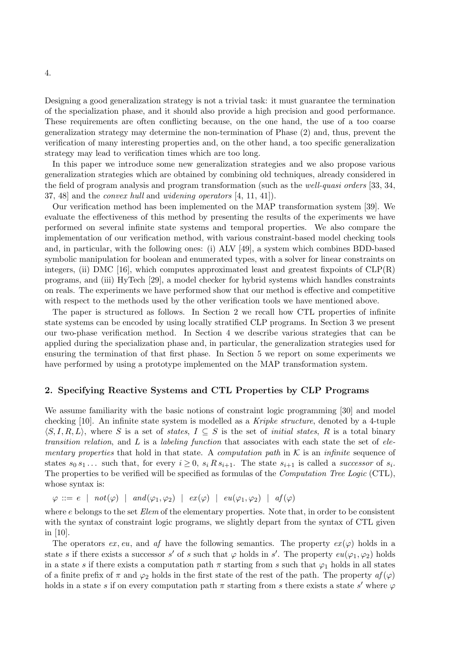Designing a good generalization strategy is not a trivial task: it must guarantee the termination of the specialization phase, and it should also provide a high precision and good performance. These requirements are often conflicting because, on the one hand, the use of a too coarse generalization strategy may determine the non-termination of Phase (2) and, thus, prevent the verification of many interesting properties and, on the other hand, a too specific generalization strategy may lead to verification times which are too long.

In this paper we introduce some new generalization strategies and we also propose various generalization strategies which are obtained by combining old techniques, already considered in the field of program analysis and program transformation (such as the well-quasi orders [33, 34, 37, 48] and the convex hull and widening operators [4, 11, 41]).

Our verification method has been implemented on the MAP transformation system [39]. We evaluate the effectiveness of this method by presenting the results of the experiments we have performed on several infinite state systems and temporal properties. We also compare the implementation of our verification method, with various constraint-based model checking tools and, in particular, with the following ones: (i) ALV [49], a system which combines BDD-based symbolic manipulation for boolean and enumerated types, with a solver for linear constraints on integers, (ii) DMC [16], which computes approximated least and greatest fixpoints of  $CLP(R)$ programs, and (iii) HyTech [29], a model checker for hybrid systems which handles constraints on reals. The experiments we have performed show that our method is effective and competitive with respect to the methods used by the other verification tools we have mentioned above.

The paper is structured as follows. In Section 2 we recall how CTL properties of infinite state systems can be encoded by using locally stratified CLP programs. In Section 3 we present our two-phase verification method. In Section 4 we describe various strategies that can be applied during the specialization phase and, in particular, the generalization strategies used for ensuring the termination of that first phase. In Section 5 we report on some experiments we have performed by using a prototype implemented on the MAP transformation system.

#### 2. Specifying Reactive Systems and CTL Properties by CLP Programs

We assume familiarity with the basic notions of constraint logic programming [30] and model checking [10]. An infinite state system is modelled as a Kripke structure, denoted by a 4-tuple  $\langle S,I,R,L\rangle$ , where S is a set of states,  $I\subseteq S$  is the set of *initial states*, R is a total binary transition relation, and  $L$  is a labeling function that associates with each state the set of elementary properties that hold in that state. A computation path in  $K$  is an infinite sequence of states  $s_0 s_1 \dots$  such that, for every  $i \geq 0$ ,  $s_i R s_{i+1}$ . The state  $s_{i+1}$  is called a *successor* of  $s_i$ . The properties to be verified will be specified as formulas of the *Computation Tree Logic* (CTL), whose syntax is:

 $\varphi ::= e \mid not(\varphi) \mid and(\varphi_1, \varphi_2) \mid ex(\varphi) \mid eu(\varphi_1, \varphi_2) \mid af(\varphi)$ 

where  $e$  belongs to the set  $Elem$  of the elementary properties. Note that, in order to be consistent with the syntax of constraint logic programs, we slightly depart from the syntax of CTL given in [10].

The operators ex, eu, and af have the following semantics. The property  $ex(\varphi)$  holds in a state s if there exists a successor s' of s such that  $\varphi$  holds in s'. The property  $eu(\varphi_1,\varphi_2)$  holds in a state s if there exists a computation path  $\pi$  starting from s such that  $\varphi_1$  holds in all states of a finite prefix of  $\pi$  and  $\varphi_2$  holds in the first state of the rest of the path. The property  $af(\varphi)$ holds in a state s if on every computation path  $\pi$  starting from s there exists a state s' where  $\varphi$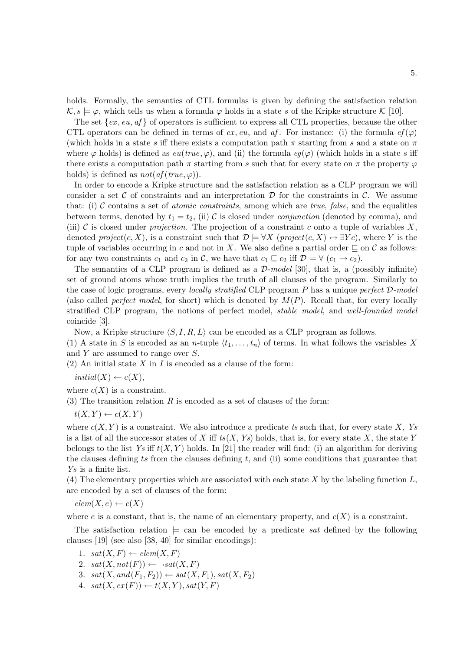holds. Formally, the semantics of CTL formulas is given by defining the satisfaction relation  $\mathcal{K}, s \models \varphi$ , which tells us when a formula  $\varphi$  holds in a state s of the Kripke structure K [10].

The set  $\{ex, eu, af\}$  of operators is sufficient to express all CTL properties, because the other CTL operators can be defined in terms of  $ex, eu$ , and  $af$ . For instance: (i) the formula  $ef(\varphi)$ (which holds in a state s iff there exists a computation path  $\pi$  starting from s and a state on  $\pi$ where  $\varphi$  holds) is defined as  $eu(true, \varphi)$ , and (ii) the formula  $eq(\varphi)$  (which holds in a state s iff there exists a computation path  $\pi$  starting from s such that for every state on  $\pi$  the property  $\varphi$ holds) is defined as  $not(aff(true, \varphi))$ .

In order to encode a Kripke structure and the satisfaction relation as a CLP program we will consider a set C of constraints and an interpretation  $\mathcal D$  for the constraints in C. We assume that: (i)  $C$  contains a set of *atomic constraints*, among which are *true*, *false*, and the equalities between terms, denoted by  $t_1 = t_2$ , (ii) C is closed under *conjunction* (denoted by comma), and (iii) C is closed under *projection*. The projection of a constraint c onto a tuple of variables X, denoted project(c, X), is a constraint such that  $\mathcal{D} \models \forall X$  (project(c, X)  $\leftrightarrow \exists Yc$ ), where Y is the tuple of variables occurring in c and not in X. We also define a partial order  $\subseteq$  on C as follows: for any two constraints  $c_1$  and  $c_2$  in C, we have that  $c_1 \sqsubseteq c_2$  iff  $\mathcal{D} \models \forall (c_1 \rightarrow c_2)$ .

The semantics of a CLP program is defined as a  $\mathcal{D}\text{-model}$  [30], that is, a (possibly infinite) set of ground atoms whose truth implies the truth of all clauses of the program. Similarly to the case of logic programs, every *locally stratified* CLP program  $P$  has a unique *perfect*  $D$ -model (also called *perfect model*, for short) which is denoted by  $M(P)$ . Recall that, for every locally stratified CLP program, the notions of perfect model, stable model, and well-founded model coincide [3].

Now, a Kripke structure  $\langle S, I, R, L \rangle$  can be encoded as a CLP program as follows.

(1) A state in S is encoded as an *n*-tuple  $\langle t_1, \ldots, t_n \rangle$  of terms. In what follows the variables X and Y are assumed to range over S.

(2) An initial state X in I is encoded as a clause of the form:

 $initial(X) \leftarrow c(X),$ 

where  $c(X)$  is a constraint.

(3) The transition relation  $R$  is encoded as a set of clauses of the form:

 $t(X,Y) \leftarrow c(X,Y)$ 

where  $c(X, Y)$  is a constraint. We also introduce a predicate ts such that, for every state X, Ys is a list of all the successor states of X iff  $ts(X, Ys)$  holds, that is, for every state X, the state Y belongs to the list Ys iff  $t(X, Y)$  holds. In [21] the reader will find: (i) an algorithm for deriving the clauses defining ts from the clauses defining  $t$ , and (ii) some conditions that guarantee that Ys is a finite list.

(4) The elementary properties which are associated with each state  $X$  by the labeling function  $L$ , are encoded by a set of clauses of the form:

 $elem(X,e) \leftarrow c(X)$ 

where e is a constant, that is, the name of an elementary property, and  $c(X)$  is a constraint.

The satisfaction relation  $\models$  can be encoded by a predicate sat defined by the following clauses [19] (see also [38, 40] for similar encodings):

- 1.  $sat(X, F) \leftarrow elem(X, F)$
- 2.  $sat(X, not(F)) \leftarrow \neg sat(X, F)$
- 3.  $sat(X, and(F_1, F_2)) \leftarrow sat(X, F_1), sat(X, F_2)$
- 4.  $sat(X, ex(F)) \leftarrow t(X, Y), sat(Y, F)$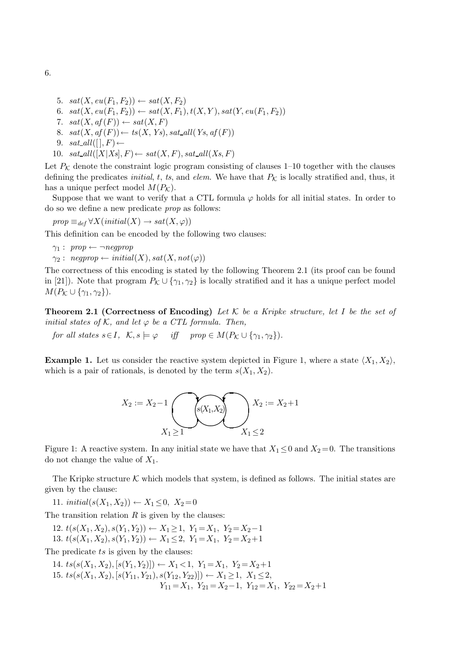- 5.  $sat(X, eu(F_1, F_2)) \leftarrow sat(X, F_2)$
- 6.  $sat(X, eu(F_1, F_2)) \leftarrow sat(X, F_1), t(X, Y), sat(Y, eu(F_1, F_2))$
- 7.  $sat(X, af(F)) \leftarrow sat(X, F)$
- 8.  $sat(X, af(F)) \leftarrow ts(X, Ys), sat\_all(Ys, af(F))$
- 9.  $sat\_all([], F) \leftarrow$
- 10.  $sat\_all([X|Xs], F) \leftarrow sat(X, F), sat\_all(Xs, F)$

Let  $P_K$  denote the constraint logic program consisting of clauses 1–10 together with the clauses defining the predicates *initial*, t, ts, and *elem*. We have that  $P_K$  is locally stratified and, thus, it has a unique perfect model  $M(P_{\mathcal{K}})$ .

Suppose that we want to verify that a CTL formula  $\varphi$  holds for all initial states. In order to do so we define a new predicate prop as follows:

 $prop \equiv_{def} \forall X (initial(X) \rightarrow sat(X, \varphi))$ 

This definition can be encoded by the following two clauses:

- $\gamma_1: \text{ prop} \leftarrow \neg \text{ negprop}$
- $\gamma_2: negprop \leftarrow initial(X), sat(X, not(\varphi))$

The correctness of this encoding is stated by the following Theorem 2.1 (its proof can be found in [21]). Note that program  $P_K \cup \{ \gamma_1, \gamma_2 \}$  is locally stratified and it has a unique perfect model  $M(P_{\mathcal{K}}\cup{\gamma_1,\gamma_2}).$ 

**Theorem 2.1 (Correctness of Encoding)** Let K be a Kripke structure, let I be the set of initial states of K, and let  $\varphi$  be a CTL formula. Then,

for all states  $s \in I$ ,  $\mathcal{K}, s \models \varphi$  iff  $prop \in M(P_{\mathcal{K}} \cup \{\gamma_1, \gamma_2\}).$ 

**Example 1.** Let us consider the reactive system depicted in Figure 1, where a state  $\langle X_1, X_2 \rangle$ , which is a pair of rationals, is denoted by the term  $s(X_1, X_2)$ .

$$
X_2 := X_2 - 1 \n\begin{array}{c}\n\downarrow \\
X_1 \ge 1\n\end{array}\n\begin{array}{c}\n\downarrow \\
\downarrow \\
X_2 \ge 2\n\end{array}\n\begin{array}{c}\nX_2 := X_2 + 1 \\
X_1 \le 2\n\end{array}
$$

Figure 1: A reactive system. In any initial state we have that  $X_1 \leq 0$  and  $X_2 = 0$ . The transitions do not change the value of  $X_1$ .

The Kripke structure  $\mathcal K$  which models that system, is defined as follows. The initial states are given by the clause:

11. initial( $s(X_1, X_2)$ ) ←  $X_1 \leq 0$ ,  $X_2 = 0$ 

The transition relation  $R$  is given by the clauses:

12.  $t(s(X_1, X_2), s(Y_1, Y_2)) \leftarrow X_1 \geq 1, Y_1 = X_1, Y_2 = X_2 - 1$ 

13.  $t(s(X_1, X_2), s(Y_1, Y_2)) \leftarrow X_1 \leq 2, Y_1 = X_1, Y_2 = X_2 + 1$ 

The predicate ts is given by the clauses:

14. 
$$
ts(s(X_1, X_2), [s(Y_1, Y_2)]) \leftarrow X_1 < 1, Y_1 = X_1, Y_2 = X_2 + 1
$$
  
\n15.  $ts(s(X_1, X_2), [s(Y_{11}, Y_{21}), s(Y_{12}, Y_{22})]) \leftarrow X_1 \ge 1, X_1 \le 2,$   
\n $Y_{11} = X_1, Y_{21} = X_2 - 1, Y_{12} = X_1, Y_{22} = X_2 + 1$ 

6.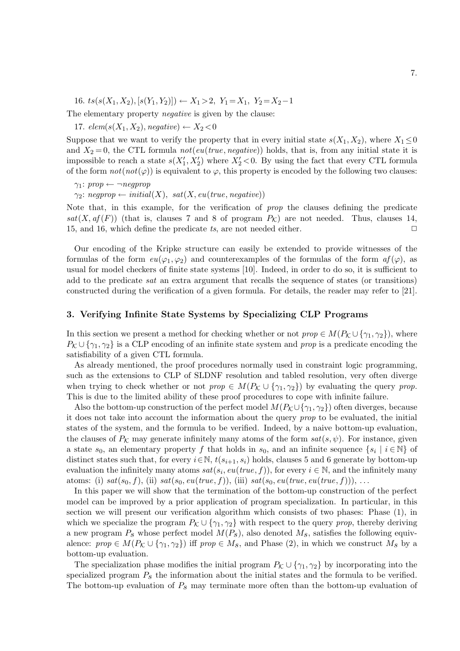16. ts(s(X<sub>1</sub>, X<sub>2</sub>), [s(Y<sub>1</sub>, Y<sub>2</sub>)]) ← X<sub>1</sub> > 2, Y<sub>1</sub> = X<sub>1</sub>, Y<sub>2</sub> = X<sub>2</sub> - 1

The elementary property negative is given by the clause:

17. elem(s(X<sub>1</sub>, X<sub>2</sub>), negative)  $\leftarrow$  X<sub>2</sub> < 0

Suppose that we want to verify the property that in every initial state  $s(X_1, X_2)$ , where  $X_1 \leq 0$ and  $X_2 = 0$ , the CTL formula not (eu(true, negative)) holds, that is, from any initial state it is impossible to reach a state  $s(X'_1, X'_2)$  where  $X'_2 < 0$ . By using the fact that every CTL formula of the form  $not(not(\varphi))$  is equivalent to  $\varphi$ , this property is encoded by the following two clauses:

 $\gamma_1$ : prop  $\leftarrow \neg \text{negprop}$ 

 $\gamma_2$ : negprop ← initial(X), sat(X, eu(true, negative))

Note that, in this example, for the verification of prop the clauses defining the predicate  $sat(X, af(F))$  (that is, clauses 7 and 8 of program  $P_K$ ) are not needed. Thus, clauses 14, 15, and 16, which define the predicate ts, are not needed either.  $\Box$ 

Our encoding of the Kripke structure can easily be extended to provide witnesses of the formulas of the form  $eu(\varphi_1,\varphi_2)$  and counterexamples of the formulas of the form  $af(\varphi)$ , as usual for model checkers of finite state systems [10]. Indeed, in order to do so, it is sufficient to add to the predicate sat an extra argument that recalls the sequence of states (or transitions) constructed during the verification of a given formula. For details, the reader may refer to [21].

# 3. Verifying Infinite State Systems by Specializing CLP Programs

In this section we present a method for checking whether or not  $prop \in M(P_{\mathcal{K}} \cup \{\gamma_1, \gamma_2\})$ , where  $P_K \cup \{\gamma_1,\gamma_2\}$  is a CLP encoding of an infinite state system and prop is a predicate encoding the satisfiability of a given CTL formula.

As already mentioned, the proof procedures normally used in constraint logic programming, such as the extensions to CLP of SLDNF resolution and tabled resolution, very often diverge when trying to check whether or not  $prop \in M(P_{\mathcal{K}} \cup {\gamma_1, \gamma_2})$  by evaluating the query prop. This is due to the limited ability of these proof procedures to cope with infinite failure.

Also the bottom-up construction of the perfect model  $M(P_{\mathcal{K}} \cup \{\gamma_1,\gamma_2\})$  often diverges, because it does not take into account the information about the query prop to be evaluated, the initial states of the system, and the formula to be verified. Indeed, by a naive bottom-up evaluation, the clauses of  $P_K$  may generate infinitely many atoms of the form  $sat(s, \psi)$ . For instance, given a state  $s_0$ , an elementary property f that holds in  $s_0$ , and an infinite sequence  $\{s_i \mid i \in \mathbb{N}\}\$  of distinct states such that, for every  $i \in \mathbb{N}$ ,  $t(s_{i+1}, s_i)$  holds, clauses 5 and 6 generate by bottom-up evaluation the infinitely many atoms  $sat(s_i, eu(true, f))$ , for every  $i \in \mathbb{N}$ , and the infinitely many atoms: (i)  $sat(s_0, f)$ , (ii)  $sat(s_0, eu(true, f))$ , (iii)  $sat(s_0, eu(true, eu(true, f)))$ , ...

In this paper we will show that the termination of the bottom-up construction of the perfect model can be improved by a prior application of program specialization. In particular, in this section we will present our verification algorithm which consists of two phases: Phase (1), in which we specialize the program  $P_K \cup \{ \gamma_1, \gamma_2 \}$  with respect to the query prop, thereby deriving a new program  $P_s$  whose perfect model  $M(P_s)$ , also denoted  $M_s$ , satisfies the following equivalence:  $prop \in M(P_{\mathcal{K}} \cup {\gamma_1, \gamma_2})$  iff  $prop \in M_s$ , and Phase (2), in which we construct  $M_s$  by a bottom-up evaluation.

The specialization phase modifies the initial program  $P_K \cup \{\gamma_1, \gamma_2\}$  by incorporating into the specialized program  $P<sub>s</sub>$  the information about the initial states and the formula to be verified. The bottom-up evaluation of  $P_s$  may terminate more often than the bottom-up evaluation of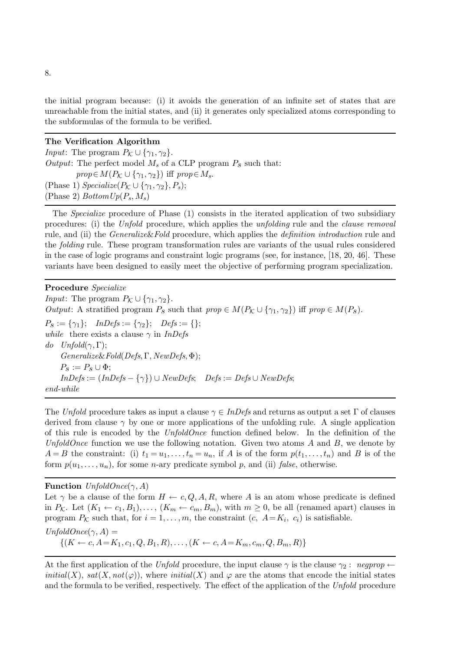the initial program because: (i) it avoids the generation of an infinite set of states that are unreachable from the initial states, and (ii) it generates only specialized atoms corresponding to the subformulas of the formula to be verified.

#### The Verification Algorithm

*Input*: The program  $P_K \cup \{\gamma_1, \gamma_2\}.$ Output: The perfect model  $M_s$  of a CLP program  $P_s$  such that:  $prop \in M(P_{\mathcal{K}} \cup {\gamma_1, \gamma_2})$  iff  $prop \in M_s$ . (Phase 1)  $Specialize(P_{\mathcal{K}} \cup {\gamma_1, \gamma_2}, P_s);$ (Phase 2)  $BottomUp(P_s, M_s)$ 

The Specialize procedure of Phase (1) consists in the iterated application of two subsidiary procedures: (i) the Unfold procedure, which applies the unfolding rule and the clause removal rule, and (ii) the *Generalize&Fold* procedure, which applies the *definition introduction* rule and the folding rule. These program transformation rules are variants of the usual rules considered in the case of logic programs and constraint logic programs (see, for instance, [18, 20, 46]. These variants have been designed to easily meet the objective of performing program specialization.

Procedure Specialize *Input*: The program  $P_K \cup \{\gamma_1, \gamma_2\}.$ Output: A stratified program  $P_s$  such that  $prop \in M(P_K \cup \{ \gamma_1, \gamma_2 \})$  iff  $prop \in M(P_s)$ .  $P_s := \{\gamma_1\}; \quad InDefs := \{\gamma_2\}; \quad Defs := \{\};$ while there exists a clause  $\gamma$  in *InDefs* do  $Unfold(\gamma, \Gamma)$ ; Generalize&Fold(Defs, Γ, NewDefs, Φ);  $P_S := P_S \cup \Phi;$  $InDefs := (InDefs - {\gamma}) \cup NewDefs; \quad Defs := Defs \cup NewDefs;$ end-while

The Unfold procedure takes as input a clause  $\gamma \in InDefs$  and returns as output a set Γ of clauses derived from clause  $\gamma$  by one or more applications of the unfolding rule. A single application of this rule is encoded by the UnfoldOnce function defined below. In the definition of the UnfoldOnce function we use the following notation. Given two atoms  $A$  and  $B$ , we denote by  $A = B$  the constraint: (i)  $t_1 = u_1, \ldots, t_n = u_n$ , if A is of the form  $p(t_1, \ldots, t_n)$  and B is of the form  $p(u_1,\ldots,u_n)$ , for some *n*-ary predicate symbol *p*, and (ii) *false*, otherwise.

**Function**  $UnfoldOnce(\gamma, A)$ Let  $\gamma$  be a clause of the form  $H \leftarrow c, Q, A, R$ , where A is an atom whose predicate is defined in  $P_K$ . Let  $(K_1 \leftarrow c_1, B_1), \ldots, (K_m \leftarrow c_m, B_m)$ , with  $m \geq 0$ , be all (renamed apart) clauses in program  $P_{\mathcal{K}}$  such that, for  $i = 1, \ldots, m$ , the constraint  $(c, A = K_i, c_i)$  is satisfiable.  $UnfoldOnce(\gamma, A) =$  $\{(K \leftarrow c, A = K_1, c_1, Q, B_1, R), \ldots, (K \leftarrow c, A = K_m, c_m, Q, B_m, R)\}\$ 

At the first application of the Unfold procedure, the input clause  $\gamma$  is the clause  $\gamma_2$ : negprop  $\leftarrow$ initial(X), sat(X, not( $\varphi$ )), where initial(X) and  $\varphi$  are the atoms that encode the initial states and the formula to be verified, respectively. The effect of the application of the Unfold procedure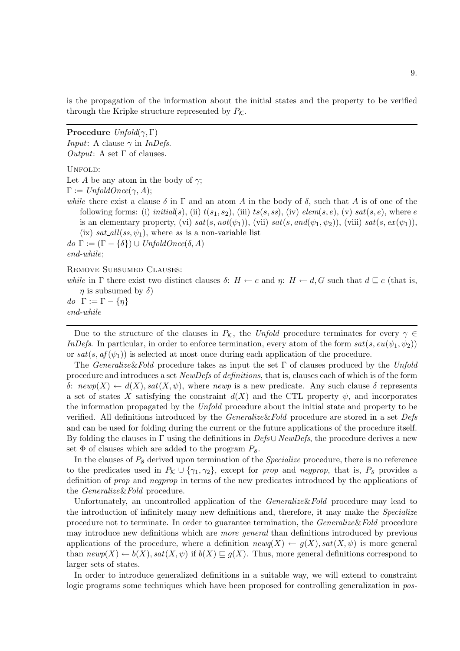is the propagation of the information about the initial states and the property to be verified through the Kripke structure represented by  $P_K$ .

**Procedure**  $Unfold(\gamma, \Gamma)$ *Input*: A clause  $\gamma$  in *InDefs.* Output: A set  $\Gamma$  of clauses. UNFOLD: Let A be any atom in the body of  $\gamma$ ;  $\Gamma := UnfoldOnce(\gamma, A);$ while there exist a clause  $\delta$  in  $\Gamma$  and an atom A in the body of  $\delta$ , such that A is of one of the following forms: (i) initial(s), (ii)  $t(s_1,s_2)$ , (iii)  $ts(s,ss)$ , (iv)  $elem(s,e)$ , (v)  $sat(s,e)$ , where e is an elementary property, (vi)  $sat(s, not(\psi_1))$ , (vii)  $sat(s, and(\psi_1, \psi_2))$ , (viii)  $sat(s, ex(\psi_1))$ , (ix) sat all  $(ss, \psi_1)$ , where ss is a non-variable list do  $\Gamma := (\Gamma - \{\delta\}) \cup UnfoldOnce(\delta, A)$ end-while; Remove Subsumed Clauses: while in  $\Gamma$  there exist two distinct clauses  $\delta: H \leftarrow c$  and  $\eta: H \leftarrow d, G$  such that  $d \sqsubset c$  (that is,  $\eta$  is subsumed by  $\delta$ ) do  $\Gamma := \Gamma - \{\eta\}$ end-while

Due to the structure of the clauses in  $P_{\mathcal{K}}$ , the Unfold procedure terminates for every  $\gamma \in$ InDefs. In particular, in order to enforce termination, every atom of the form  $sat(s, e^{\psi_1}, \psi_2)$ or  $sat(s, af(\psi_1))$  is selected at most once during each application of the procedure.

The Generalize&Fold procedure takes as input the set  $\Gamma$  of clauses produced by the Unfold procedure and introduces a set NewDefs of definitions, that is, clauses each of which is of the form δ: newp(X) ←  $d(X)$ , sat(X, ψ), where newp is a new predicate. Any such clause δ represents a set of states X satisfying the constraint  $d(X)$  and the CTL property  $\psi$ , and incorporates the information propagated by the Unfold procedure about the initial state and property to be verified. All definitions introduced by the *Generalize&Fold* procedure are stored in a set *Defs* and can be used for folding during the current or the future applications of the procedure itself. By folding the clauses in  $\Gamma$  using the definitions in  $Defs\cup NewDefs$ , the procedure derives a new set  $\Phi$  of clauses which are added to the program  $P_s$ .

In the clauses of  $P<sub>s</sub>$  derived upon termination of the *Specialize* procedure, there is no reference to the predicates used in  $P_K \cup \{\gamma_1, \gamma_2\}$ , except for prop and negprop, that is,  $P_S$  provides a definition of prop and negprop in terms of the new predicates introduced by the applications of the Generalize&Fold procedure.

Unfortunately, an uncontrolled application of the *Generalize&Fold* procedure may lead to the introduction of infinitely many new definitions and, therefore, it may make the Specialize procedure not to terminate. In order to guarantee termination, the Generalize&Fold procedure may introduce new definitions which are more general than definitions introduced by previous applications of the procedure, where a definition  $newq(X) \leftarrow g(X)$ , sat $(X, \psi)$  is more general than  $newp(X) \leftarrow b(X)$ ,  $sat(X, \psi)$  if  $b(X) \sqsubset q(X)$ . Thus, more general definitions correspond to larger sets of states.

In order to introduce generalized definitions in a suitable way, we will extend to constraint logic programs some techniques which have been proposed for controlling generalization in pos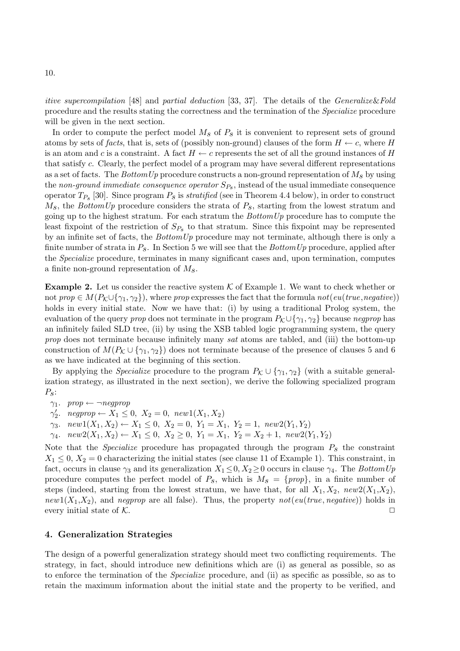itive supercompilation [48] and partial deduction [33, 37]. The details of the Generalize&Fold procedure and the results stating the correctness and the termination of the Specialize procedure will be given in the next section.

In order to compute the perfect model  $M_s$  of  $P_s$  it is convenient to represent sets of ground atoms by sets of facts, that is, sets of (possibly non-ground) clauses of the form  $H \leftarrow c$ , where H is an atom and c is a constraint. A fact  $H \leftarrow c$  represents the set of all the ground instances of H that satisfy c. Clearly, the perfect model of a program may have several different representations as a set of facts. The BottomUp procedure constructs a non-ground representation of  $M_s$  by using the non-ground immediate consequence operator  $S_{P_{\mathcal{S}}}$ , instead of the usual immediate consequence operator  $T_{P_s}$  [30]. Since program  $P_s$  is *stratified* (see in Theorem 4.4 below), in order to construct  $M<sub>s</sub>$ , the BottomUp procedure considers the strata of  $P<sub>s</sub>$ , starting from the lowest stratum and going up to the highest stratum. For each stratum the  $BottomUp$  procedure has to compute the least fixpoint of the restriction of  $S_{P_s}$  to that stratum. Since this fixpoint may be represented by an infinite set of facts, the  $BottomUp$  procedure may not terminate, although there is only a finite number of strata in  $P_s$ . In Section 5 we will see that the BottomUp procedure, applied after the Specialize procedure, terminates in many significant cases and, upon termination, computes a finite non-ground representation of  $M_s$ .

**Example 2.** Let us consider the reactive system  $\mathcal K$  of Example 1. We want to check whether or not prop  $\in M(P_{\mathcal{K}} \cup \{\gamma_1,\gamma_2\})$ , where prop expresses the fact that the formula not(eu(true,negative)) holds in every initial state. Now we have that: (i) by using a traditional Prolog system, the evaluation of the query prop does not terminate in the program  $P_K \cup \{\gamma_1, \gamma_2\}$  because negprop has an infinitely failed SLD tree, (ii) by using the XSB tabled logic programming system, the query prop does not terminate because infinitely many sat atoms are tabled, and (iii) the bottom-up construction of  $M(P_{\mathcal{K}} \cup {\gamma_1, \gamma_2})$  does not terminate because of the presence of clauses 5 and 6 as we have indicated at the beginning of this section.

By applying the *Specialize* procedure to the program  $P_K \cup \{\gamma_1, \gamma_2\}$  (with a suitable generalization strategy, as illustrated in the next section), we derive the following specialized program  $P_{\rm S}$ :

 $\gamma_1$ . prop  $\leftarrow \neg \text{negprop}$ 

 $\gamma_2'$ . negprop  $\leftarrow X_1 \leq 0$ ,  $X_2 = 0$ , new $1(X_1, X_2)$ 

 $\gamma_3$ . new1(X<sub>1</sub>, X<sub>2</sub>) ← X<sub>1</sub> ≤ 0, X<sub>2</sub> = 0, Y<sub>1</sub> = X<sub>1</sub>, Y<sub>2</sub> = 1, new2(Y<sub>1</sub>, Y<sub>2</sub>)

 $\gamma_4$ .  $new2(X_1, X_2) \leftarrow X_1 \leq 0, X_2 \geq 0, Y_1 = X_1, Y_2 = X_2 + 1, new2(Y_1, Y_2)$ 

Note that the *Specialize* procedure has propagated through the program  $P_s$  the constraint  $X_1 \leq 0, X_2 = 0$  characterizing the initial states (see clause 11 of Example 1). This constraint, in fact, occurs in clause  $\gamma_3$  and its generalization  $X_1 \leq 0, X_2 \geq 0$  occurs in clause  $\gamma_4$ . The BottomUp procedure computes the perfect model of  $P_s$ , which is  $M_s = \{prop\}$ , in a finite number of steps (indeed, starting from the lowest stratum, we have that, for all  $X_1, X_2, new2(X_1, X_2)$ , new1( $X_1, X_2$ ), and negprop are all false). Thus, the property not(eu(true, negative)) holds in every initial state of  $K$ .

## 4. Generalization Strategies

The design of a powerful generalization strategy should meet two conflicting requirements. The strategy, in fact, should introduce new definitions which are (i) as general as possible, so as to enforce the termination of the Specialize procedure, and (ii) as specific as possible, so as to retain the maximum information about the initial state and the property to be verified, and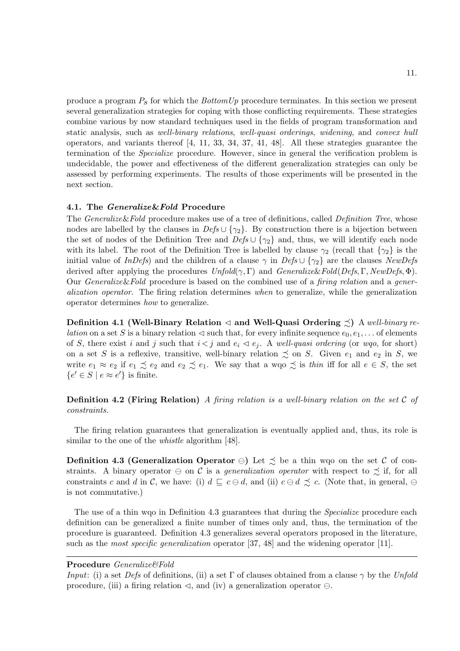produce a program  $P<sub>s</sub>$  for which the *BottomUp* procedure terminates. In this section we present several generalization strategies for coping with those conflicting requirements. These strategies combine various by now standard techniques used in the fields of program transformation and static analysis, such as well-binary relations, well-quasi orderings, widening, and convex hull operators, and variants thereof [4, 11, 33, 34, 37, 41, 48]. All these strategies guarantee the termination of the Specialize procedure. However, since in general the verification problem is undecidable, the power and effectiveness of the different generalization strategies can only be assessed by performing experiments. The results of those experiments will be presented in the next section.

#### 4.1. The Generalize&Fold Procedure

The *Generalize&Fold* procedure makes use of a tree of definitions, called *Definition Tree*, whose nodes are labelled by the clauses in  $Defs \cup {\gamma_2}$ . By construction there is a bijection between the set of nodes of the Definition Tree and  $Defs \cup \{\gamma_2\}$  and, thus, we will identify each node with its label. The root of the Definition Tree is labelled by clause  $\gamma_2$  (recall that  $\{\gamma_2\}$  is the initial value of InDefs) and the children of a clause  $\gamma$  in Defs ∪ { $\gamma_2$ } are the clauses NewDefs derived after applying the procedures  $Unfold(\gamma, \Gamma)$  and  $Generalize\&Fold(Def, \Gamma, NewDef, \Phi)$ . Our Generalize&Fold procedure is based on the combined use of a firing relation and a generalization operator. The firing relation determines when to generalize, while the generalization operator determines how to generalize.

Definition 4.1 (Well-Binary Relation  $\triangleleft$  and Well-Quasi Ordering  $\preceq$ ) A well-binary re*lation* on a set S is a binary relation  $\triangleleft$  such that, for every infinite sequence  $e_0, e_1, \ldots$  of elements of S, there exist i and j such that  $i < j$  and  $e_i \triangleleft e_j$ . A well-quasi ordering (or wgo, for short) on a set S is a reflexive, transitive, well-binary relation  $\precsim$  on S. Given  $e_1$  and  $e_2$  in S, we write  $e_1 \approx e_2$  if  $e_1 \precsim e_2$  and  $e_2 \precsim e_1$ . We say that a wqo  $\precsim$  is thin iff for all  $e \in S$ , the set  $\{e' \in S \mid e \approx e'\}\$ is finite.

**Definition 4.2 (Firing Relation)** A firing relation is a well-binary relation on the set  $C$  of constraints.

The firing relation guarantees that generalization is eventually applied and, thus, its role is similar to the one of the *whistle* algorithm [48].

Definition 4.3 (Generalization Operator ⊖) Let  $\leq$  be a thin wqo on the set C of constraints. A binary operator  $\ominus$  on C is a *generalization operator* with respect to  $\precsim$  if, for all constraints c and d in C, we have: (i)  $d \sqsubseteq c \ominus d$ , and (ii)  $c \ominus d \precsim c$ . (Note that, in general,  $\ominus$ is not commutative.)

The use of a thin wgo in Definition 4.3 guarantees that during the *Specialize* procedure each definition can be generalized a finite number of times only and, thus, the termination of the procedure is guaranteed. Definition 4.3 generalizes several operators proposed in the literature, such as the *most specific generalization* operator [37, 48] and the widening operator [11].

#### Procedure Generalize&Fold

Input: (i) a set Defs of definitions, (ii) a set Γ of clauses obtained from a clause  $\gamma$  by the Unfold procedure, (iii) a firing relation  $\triangleleft$ , and (iv) a generalization operator  $\ominus$ .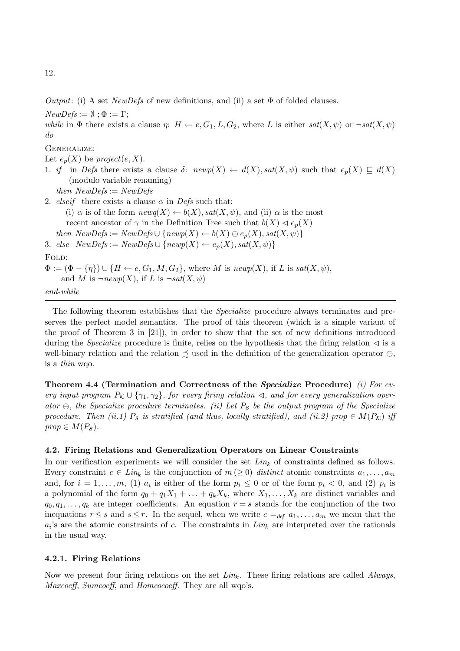12.

Output: (i) A set NewDefs of new definitions, and (ii) a set  $\Phi$  of folded clauses.

 $NewDefs := \emptyset$ ;  $\Phi := \Gamma$ ;

while in  $\Phi$  there exists a clause  $\eta: H \leftarrow e, G_1, L, G_2$ , where L is either  $sat(X, \psi)$  or  $-sat(X, \psi)$ do

GENERALIZE:

Let  $e_n(X)$  be project(e, X).

- 1. if in Defs there exists a clause  $\delta$ :  $newp(X) \leftarrow d(X)$ ,  $sat(X, \psi)$  such that  $e_p(X) \sqsubseteq d(X)$ (modulo variable renaming)
	- then  $NewDefs := NewDefs$
- 2. elseif there exists a clause  $\alpha$  in Defs such that:
- (i)  $\alpha$  is of the form  $newq(X) \leftarrow b(X)$ ,  $sat(X, \psi)$ , and (ii)  $\alpha$  is the most recent ancestor of  $\gamma$  in the Definition Tree such that  $b(X) \lhd e_p(X)$ then  $NewDefs := NewDefs \cup \{newp(X) \leftarrow b(X) \oplus e_p(X), sat(X, \psi)\}\$ 3. else  $NewDefs := NewDefs \cup \{newp(X) \leftarrow e_p(X), sat(X, \psi)\}$

FOLD:

 $\Phi := (\Phi - \{\eta\}) \cup \{H \leftarrow e, G_1, M, G_2\},$  where M is newp(X), if L is sat(X,  $\psi$ ), and M is  $\neg newp(X)$ , if L is  $\neg sat(X, \psi)$ end-while

The following theorem establishes that the *Specialize* procedure always terminates and preserves the perfect model semantics. The proof of this theorem (which is a simple variant of the proof of Theorem 3 in [21]), in order to show that the set of new definitions introduced during the *Specialize* procedure is finite, relies on the hypothesis that the firing relation  $\triangleleft$  is a well-binary relation and the relation  $\precsim$  used in the definition of the generalization operator  $\ominus$ , is a thin wqo.

Theorem 4.4 (Termination and Correctness of the Specialize Procedure) (i) For every input program  $P_K \cup \{\gamma_1, \gamma_2\}$ , for every firing relation  $\triangleleft$ , and for every generalization operator  $\ominus$ , the Specialize procedure terminates. (ii) Let  $P_s$  be the output program of the Specialize procedure. Then (ii.1)  $P_s$  is stratified (and thus, locally stratified), and (ii.2) prop  $\in M(P_K)$  iff  $prop \in M(P_s)$ .

# 4.2. Firing Relations and Generalization Operators on Linear Constraints

In our verification experiments we will consider the set  $Lin_k$  of constraints defined as follows. Every constraint  $c \in Lin_k$  is the conjunction of  $m(\geq 0)$  distinct atomic constraints  $a_1, \ldots, a_m$ and, for  $i = 1, \ldots, m$ , (1)  $a_i$  is either of the form  $p_i \leq 0$  or of the form  $p_i < 0$ , and (2)  $p_i$  is a polynomial of the form  $q_0 + q_1X_1 + \ldots + q_kX_k$ , where  $X_1, \ldots, X_k$  are distinct variables and  $q_0, q_1, \ldots, q_k$  are integer coefficients. An equation  $r = s$  stands for the conjunction of the two inequations  $r \leq s$  and  $s \leq r$ . In the sequel, when we write  $c =_{def} a_1, \ldots, a_m$  we mean that the  $a_i$ 's are the atomic constraints of c. The constraints in  $Lin_k$  are interpreted over the rationals in the usual way.

# 4.2.1. Firing Relations

Now we present four firing relations on the set  $Lin_k$ . These firing relations are called Always, Maxcoeff, Sumcoeff, and Homeocoeff. They are all wqo's.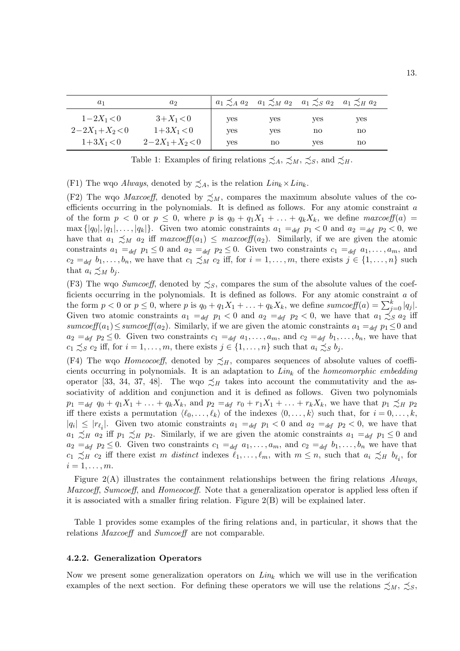| $a_1$          | a <sub>2</sub> |            | $a_1 \precsim_A a_2$ $a_1 \precsim_M a_2$ $a_1 \precsim_S a_2$ $a_1 \precsim_H a_2$ |     |     |  |
|----------------|----------------|------------|-------------------------------------------------------------------------------------|-----|-----|--|
| $1 - 2X_1 < 0$ | $3+X_1 < 0$    | <b>ves</b> | yes                                                                                 | yes | yes |  |
| $2-2X_1+X_2<0$ | $1+3X_1 < 0$   | yes        | yes                                                                                 | no  | no  |  |
| $1+3X_1<0$     | $2-2X_1+X_2<0$ | ves        | no                                                                                  | ves | no  |  |

Table 1: Examples of firing relations  $\precsim_A$ ,  $\precsim_M$ ,  $\precsim_S$ , and  $\precsim_H$ .

(F1) The wqo *Always*, denoted by  $\precsim_A$ , is the relation  $Lin_k \times Lin_k$ .

(F2) The wqo *Maxcoeff*, denoted by  $\precsim_M$ , compares the maximum absolute values of the coefficients occurring in the polynomials. It is defined as follows. For any atomic constraint a of the form  $p < 0$  or  $p \le 0$ , where p is  $q_0 + q_1 X_1 + \ldots + q_k X_k$ , we define maxcoeff(a) = max  $\{|q_0|, |q_1|, \ldots, |q_k|\}$ . Given two atomic constraints  $a_1 =_{def} p_1 < 0$  and  $a_2 =_{def} p_2 < 0$ , we have that  $a_1 \preceq_M a_2$  iff  $maxcoeff(a_1) \preceq maxcoeff(a_2)$ . Similarly, if we are given the atomic constraints  $a_1 =_{def} p_1 \leq 0$  and  $a_2 =_{def} p_2 \leq 0$ . Given two constraints  $c_1 =_{def} a_1, \ldots, a_m$ , and  $c_2 =_{def} b_1, \ldots, b_n$ , we have that  $c_1 \precsim_M c_2$  iff, for  $i = 1, \ldots, m$ , there exists  $j \in \{1, \ldots, n\}$  such that  $a_i \precsim_M b_j$ .

(F3) The wqo Sumcoeff, denoted by  $\precsim_S$ , compares the sum of the absolute values of the coefficients occurring in the polynomials. It is defined as follows. For any atomic constraint a of the form  $p < 0$  or  $p \le 0$ , where p is  $q_0 + q_1 X_1 + \ldots + q_k X_k$ , we define sumcoeff(a)  $= \sum_{j=0}^k |q_j|$ . Given two atomic constraints  $a_1 =_{def} p_1 < 0$  and  $a_2 =_{def} p_2 < 0$ , we have that  $a_1 \precsim_{S} a_2$  iff sumcoeff(a<sub>1</sub>) ≤ sumcoeff(a<sub>2</sub>). Similarly, if we are given the atomic constraints  $a_1 =_{def} p_1 \leq 0$  and  $a_2 =_{def} p_2 \leq 0$ . Given two constraints  $c_1 =_{def} a_1, \ldots, a_m$ , and  $c_2 =_{def} b_1, \ldots, b_n$ , we have that  $c_1 \precsim_S c_2$  iff, for  $i = 1, \ldots, m$ , there exists  $j \in \{1, \ldots, n\}$  such that  $a_i \precsim_S b_j$ .

(F4) The wqo *Homeocoeff*, denoted by  $\precsim_H$ , compares sequences of absolute values of coefficients occurring in polynomials. It is an adaptation to  $Lin_k$  of the *homeomorphic embedding* operator [33, 34, 37, 48]. The wqo  $\precsim_H$  takes into account the commutativity and the associativity of addition and conjunction and it is defined as follows. Given two polynomials  $p_1 =_{def} q_0 + q_1X_1 + \ldots + q_kX_k$ , and  $p_2 =_{def} r_0 + r_1X_1 + \ldots + r_kX_k$ , we have that  $p_1 \precsim_H p_2$ iff there exists a permutation  $\langle \ell_0,\ldots,\ell_k \rangle$  of the indexes  $\langle 0,\ldots,k \rangle$  such that, for  $i = 0,\ldots,k$ ,  $|q_i| \leq |r_{\ell_i}|$ . Given two atomic constraints  $a_1 =_{def} p_1 < 0$  and  $a_2 =_{def} p_2 < 0$ , we have that  $a_1 \preceq_H a_2$  iff  $p_1 \preceq_H p_2$ . Similarly, if we are given the atomic constraints  $a_1 =_{def} p_1 \leq 0$  and  $a_2 =_{def} p_2 \leq 0$ . Given two constraints  $c_1 =_{def} a_1, \ldots, a_m$ , and  $c_2 =_{def} b_1, \ldots, b_n$  we have that  $c_1 \precsim_H c_2$  iff there exist m distinct indexes  $\ell_1, \ldots, \ell_m$ , with  $m \leq n$ , such that  $a_i \precsim_H b_{\ell_i}$ , for  $i=1,\ldots,m$ .

Figure  $2(A)$  illustrates the containment relationships between the firing relations Always, Maxcoeff, Sumcoeff, and Homeocoeff. Note that a generalization operator is applied less often if it is associated with a smaller firing relation. Figure 2(B) will be explained later.

Table 1 provides some examples of the firing relations and, in particular, it shows that the relations *Maxcoeff* and *Sumcoeff* are not comparable.

#### 4.2.2. Generalization Operators

Now we present some generalization operators on  $Lin_k$  which we will use in the verification examples of the next section. For defining these operators we will use the relations  $\precsim_M$ ,  $\precsim_S$ ,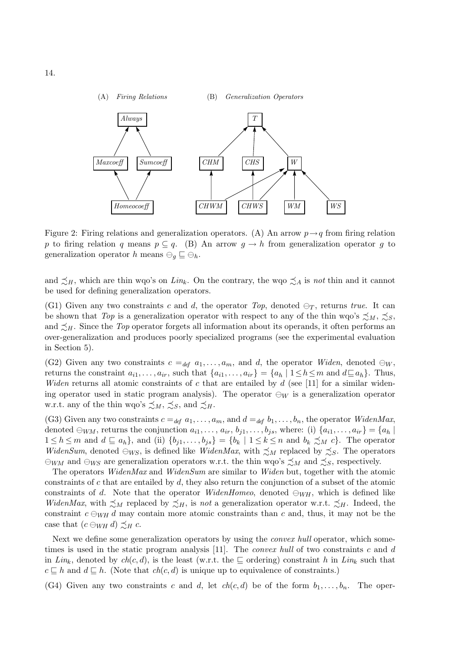

Figure 2: Firing relations and generalization operators. (A) An arrow  $p \rightarrow q$  from firing relation p to firing relation q means  $p \subseteq q$ . (B) An arrow  $q \to h$  from generalization operator q to generalization operator h means  $\ominus_q \sqsubseteq \ominus_h$ .

and  $\preceq_H$ , which are thin wqo's on Lin<sub>k</sub>. On the contrary, the wqo  $\preceq_A$  is not thin and it cannot be used for defining generalization operators.

(G1) Given any two constraints c and d, the operator Top, denoted  $\ominus_T$ , returns true. It can be shown that Top is a generalization operator with respect to any of the thin wqo's  $\precsim_M$ ,  $\precsim_S$ , and  $\preceq_H$ . Since the *Top* operator forgets all information about its operands, it often performs an over-generalization and produces poorly specialized programs (see the experimental evaluation in Section 5).

(G2) Given any two constraints  $c =_{def} a_1, \ldots, a_m$ , and d, the operator Widen, denoted  $\ominus_W$ , returns the constraint  $a_{i1},...,a_{ir}$ , such that  $\{a_{i1},...,a_{ir}\} = \{a_h | 1 \le h \le m \text{ and } d \sqsubseteq a_h\}$ . Thus, Widen returns all atomic constraints of c that are entailed by  $d$  (see [11] for a similar widening operator used in static program analysis). The operator  $\ominus_W$  is a generalization operator w.r.t. any of the thin wqo's  $\preceq_M$ ,  $\preceq_S$ , and  $\preceq_H$ .

(G3) Given any two constraints  $c =_{def} a_1, \ldots, a_m$ , and  $d =_{def} b_1, \ldots, b_n$ , the operator WidenMax, denoted  $\ominus_{WM}$ , returns the conjunction  $a_{i1},\ldots,a_{ir},b_{j1},\ldots,b_{js}$ , where: (i)  $\{a_{i1},\ldots,a_{ir}\} = \{a_h \mid a_{is} \in A_j\}$  $1 \leq h \leq m$  and  $d \sqsubseteq a_h$ , and (ii)  $\{b_{j1},\ldots,b_{js}\} = \{b_k \mid 1 \leq k \leq n \text{ and } b_k \precsim_M c\}.$  The operator WidenSum, denoted  $\ominus_{WS}$ , is defined like WidenMax, with  $\precsim_M$  replaced by  $\precsim_S$ . The operators  $\ominus_{WM}$  and  $\ominus_{WS}$  are generalization operators w.r.t. the thin wqo's  $\precsim_M$  and  $\precsim_S$ , respectively.

The operators *WidenMax* and *WidenSum* are similar to *Widen* but, together with the atomic constraints of c that are entailed by  $d$ , they also return the conjunction of a subset of the atomic constraints of d. Note that the operator WidenHomeo, denoted  $\ominus_{WH}$ , which is defined like WidenMax, with  $\preceq_M$  replaced by  $\preceq_H$ , is not a generalization operator w.r.t.  $\preceq_H$ . Indeed, the constraint  $c \ominus_{WH} d$  may contain more atomic constraints than c and, thus, it may not be the case that  $(c \ominus_{WH} d) \preceq_{H} c$ .

Next we define some generalization operators by using the *convex hull* operator, which sometimes is used in the static program analysis  $[11]$ . The *convex hull* of two constraints c and d in Lin<sub>k</sub>, denoted by ch(c,d), is the least (w.r.t. the  $\subseteq$  ordering) constraint h in Lin<sub>k</sub> such that  $c \sqsubseteq h$  and  $d \sqsubseteq h$ . (Note that  $ch(c,d)$  is unique up to equivalence of constraints.)

(G4) Given any two constraints c and d, let  $ch(c, d)$  be of the form  $b_1, \ldots, b_n$ . The oper-

14.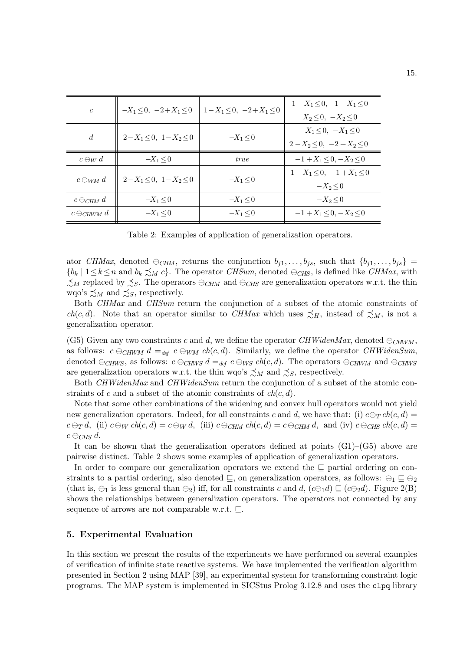| $\mathfrak{c}$       | $-X_1 \leq 0$ , $-2+X_1 \leq 0$ | $1-X_1 \leq 0$ , $-2+X_1 \leq 0$ | $1-X_1 < 0, -1+X_1 < 0$<br>$X_2 \leq 0$ , $-X_2 \leq 0$ |
|----------------------|---------------------------------|----------------------------------|---------------------------------------------------------|
| $\overline{d}$       | $2-X_1 \leq 0$ , $1-X_2 \leq 0$ | $-X_1 < 0$                       | $X_1 < 0, -X_1 < 0$                                     |
|                      |                                 |                                  | $2-X_2 < 0$ , $-2+X_2 < 0$                              |
| $c \ominus_W d$      | $-X_1 < 0$                      | <i>true</i>                      | $-1+X_1<0, -X_2<0$                                      |
| $c \ominus_{WM} d$   | $2-X_1 < 0$ , $1-X_2 < 0$       | $-X_1 < 0$                       | $1-X_1 < 0, -1+X_1 < 0$                                 |
|                      |                                 |                                  | $-X_2 < 0$                                              |
| $c \ominus_{CHM} d$  | $-X_1 < 0$                      | $-X_1 \leq 0$                    | $-X_2 < 0$                                              |
| $c \ominus_{CHWM} d$ | $-X_1 < 0$                      | $-X_1 < 0$                       | $-1+X_1<0, -X_2<0$                                      |

Table 2: Examples of application of generalization operators.

ator CHMax, denoted  $\ominus_{CHM}$ , returns the conjunction  $b_{j1},...,b_{js}$ , such that  $\{b_{j1},...,b_{js}\}=$  ${b_k | 1 \le k \le n \text{ and } b_k \preceq_M c}.$  The operator CHSum, denoted  $\ominus_{CHS}$ , is defined like CHMax, with  $\precsim_M$  replaced by  $\precsim_S$ . The operators  $\ominus_{CHM}$  and  $\ominus_{CHS}$  are generalization operators w.r.t. the thin wqo's  $\precsim_M$  and  $\precsim_S$ , respectively.

Both CHMax and CHSum return the conjunction of a subset of the atomic constraints of  $ch(c, d)$ . Note that an operator similar to CHMax which uses  $\precsim_H$ , instead of  $\precsim_M$ , is not a generalization operator.

(G5) Given any two constraints c and d, we define the operator CHWidenMax, denoted  $\ominus_{CHWM}$ , as follows:  $c \ominus_{CHWM} d =_{def} c \ominus_{WM} ch(c,d)$ . Similarly, we define the operator CHWidenSum, denoted  $\ominus_{CHWS}$ , as follows:  $c \ominus_{CHWS} d =_{def} c \ominus_{WS} ch(c,d)$ . The operators  $\ominus_{CHWN}$  and  $\ominus_{CHWS}$ are generalization operators w.r.t. the thin wqo's  $\precsim_M$  and  $\precsim_S$ , respectively.

Both *CHWidenMax* and *CHWidenSum* return the conjunction of a subset of the atomic constraints of c and a subset of the atomic constraints of  $ch(c, d)$ .

Note that some other combinations of the widening and convex hull operators would not yield new generalization operators. Indeed, for all constraints c and d, we have that: (i)  $c \ominus_T ch(c,d) =$  $c \ominus_T d$ , (ii)  $c \ominus_W ch(c,d) = c \ominus_W d$ , (iii)  $c \ominus_{CHM} ch(c,d) = c \ominus_{CHM} d$ , and (iv)  $c \ominus_{CHS} ch(c,d) = c$  $c \ominus_{CHS} d$ .

It can be shown that the generalization operators defined at points  $(G1)$ – $(G5)$  above are pairwise distinct. Table 2 shows some examples of application of generalization operators.

In order to compare our generalization operators we extend the ⊑ partial ordering on constraints to a partial ordering, also denoted  $\sqsubseteq$ , on generalization operators, as follows:  $\ominus_1 \sqsubseteq \ominus_2$ (that is,  $\ominus_1$  is less general than  $\ominus_2$ ) iff, for all constraints c and d,  $(c\ominus_1 d) \sqsubseteq (c\ominus_2 d)$ . Figure 2(B) shows the relationships between generalization operators. The operators not connected by any sequence of arrows are not comparable w.r.t. ⊑.

#### 5. Experimental Evaluation

In this section we present the results of the experiments we have performed on several examples of verification of infinite state reactive systems. We have implemented the verification algorithm presented in Section 2 using MAP [39], an experimental system for transforming constraint logic programs. The MAP system is implemented in SICStus Prolog 3.12.8 and uses the clpq library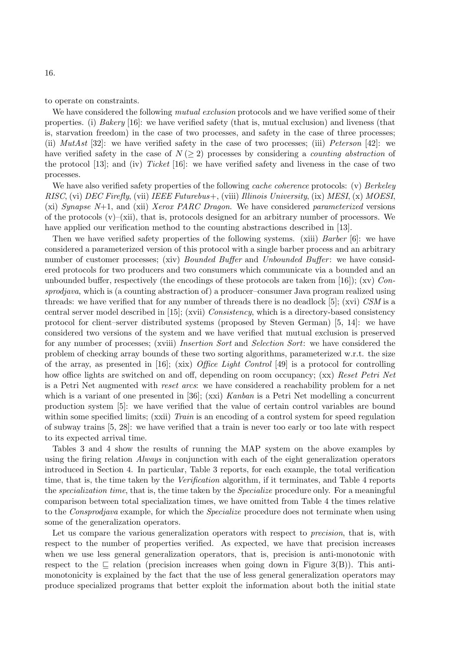to operate on constraints.

We have considered the following *mutual exclusion* protocols and we have verified some of their properties. (i) Bakery [16]: we have verified safety (that is, mutual exclusion) and liveness (that is, starvation freedom) in the case of two processes, and safety in the case of three processes; (ii)  $MutAst$  [32]: we have verified safety in the case of two processes; (iii) Peterson [42]: we have verified safety in the case of  $N \geq 2$ ) processes by considering a *counting abstraction* of the protocol [13]; and (iv) Ticket [16]: we have verified safety and liveness in the case of two processes.

We have also verified safety properties of the following *cache coherence* protocols: (v) Berkeley RISC, (vi) DEC Firefly, (vii) IEEE Futurebus+, (viii) Illinois University, (ix) MESI, (x) MOESI, (xi) Synapse  $N+1$ , and (xii) Xerox PARC Dragon. We have considered parameterized versions of the protocols  $(v)$ –(xii), that is, protocols designed for an arbitrary number of processors. We have applied our verification method to the counting abstractions described in [13].

Then we have verified safety properties of the following systems. (xiii) Barber [6]: we have considered a parameterized version of this protocol with a single barber process and an arbitrary number of customer processes; (xiv) *Bounded Buffer* and *Unbounded Buffer*: we have considered protocols for two producers and two consumers which communicate via a bounded and an unbounded buffer, respectively (the encodings of these protocols are taken from [16]); (xv) Consprodjava, which is (a counting abstraction of) a producer–consumer Java program realized using threads: we have verified that for any number of threads there is no deadlock [5]; (xvi)  $CSM$  is a central server model described in [15]; (xvii) *Consistency*, which is a directory-based consistency protocol for client–server distributed systems (proposed by Steven German) [5, 14]: we have considered two versions of the system and we have verified that mutual exclusion is preserved for any number of processes; (xviii) *Insertion Sort* and *Selection Sort*: we have considered the problem of checking array bounds of these two sorting algorithms, parameterized w.r.t. the size of the array, as presented in [16]; (xix) Office Light Control [49] is a protocol for controlling how office lights are switched on and off, depending on room occupancy; (xx) Reset Petri Net is a Petri Net augmented with reset arcs: we have considered a reachability problem for a net which is a variant of one presented in [36]; (xxi) Kanban is a Petri Net modelling a concurrent production system [5]: we have verified that the value of certain control variables are bound within some specified limits; (xxii) Train is an encoding of a control system for speed regulation of subway trains [5, 28]: we have verified that a train is never too early or too late with respect to its expected arrival time.

Tables 3 and 4 show the results of running the MAP system on the above examples by using the firing relation *Always* in conjunction with each of the eight generalization operators introduced in Section 4. In particular, Table 3 reports, for each example, the total verification time, that is, the time taken by the *Verification* algorithm, if it terminates, and Table 4 reports the *specialization time*, that is, the time taken by the *Specialize* procedure only. For a meaningful comparison between total specialization times, we have omitted from Table 4 the times relative to the Consprodjava example, for which the Specialize procedure does not terminate when using some of the generalization operators.

Let us compare the various generalization operators with respect to *precision*, that is, with respect to the number of properties verified. As expected, we have that precision increases when we use less general generalization operators, that is, precision is anti-monotonic with respect to the  $\subseteq$  relation (precision increases when going down in Figure 3(B)). This antimonotonicity is explained by the fact that the use of less general generalization operators may produce specialized programs that better exploit the information about both the initial state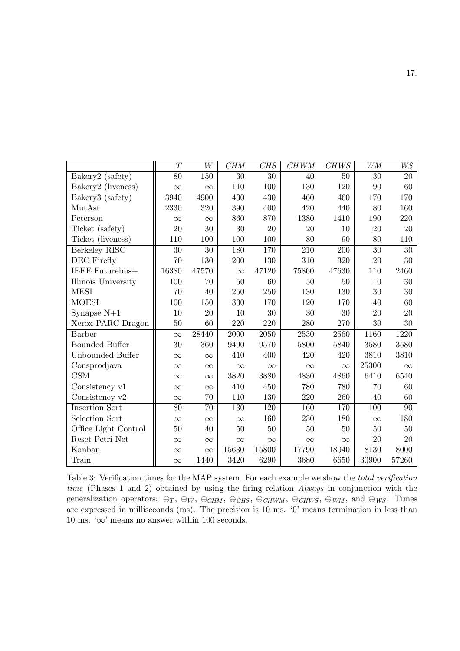|                       | T        | W        | <b>CHM</b> | <b>CHS</b> | <b>CHWM</b> | CHWS       | <b>WM</b>         | W <sub>S</sub> |
|-----------------------|----------|----------|------------|------------|-------------|------------|-------------------|----------------|
| Bakery2 (safety)      | 80       | 150      | 30         | 30         | 40          | 50         | 30                | 20             |
| Bakery2 (liveness)    | $\infty$ | $\infty$ | 110        | 100        | 130         | 120        | 90                | 60             |
| Bakery3 (safety)      | 3940     | 4900     | 430        | 430        | 460         | 460        | 170               | 170            |
| MutAst                | 2330     | 320      | 390        | 400        | 420         | 440        | 80                | 160            |
| Peterson              | $\infty$ | $\infty$ | 860        | 870        | 1380        | 1410       | 190               | 220            |
| Ticket (safety)       | 20       | 30       | 30         | 20         | 20          | 10         | 20                | 20             |
| Ticket (liveness)     | 110      | 100      | 100        | 100        | 80          | 90         | 80                | 110            |
| Berkeley RISC         | 30       | 30       | 180        | 170        | 210         | <b>200</b> | 30                | 30             |
| DEC Firefly           | 70       | 130      | 200        | 130        | 310         | 320        | 20                | 30             |
| IEEE Futurebus+       | 16380    | 47570    | $\infty$   | 47120      | 75860       | 47630      | 110               | 2460           |
| Illinois University   | 100      | 70       | 50         | 60         | 50          | 50         | 10                | 30             |
| <b>MESI</b>           | 70       | 40       | 250        | 250        | 130         | 130        | 30                | 30             |
| <b>MOESI</b>          | 100      | 150      | 330        | 170        | 120         | 170        | 40                | 60             |
| Synapse $N+1$         | 10       | 20       | 10         | 30         | 30          | 30         | 20                | 20             |
| Xerox PARC Dragon     | 50       | 60       | 220        | 220        | 280         | 270        | 30                | 30             |
| Barber                | $\infty$ | 28440    | 2000       | 2050       | 2530        | 2560       | $1\overline{160}$ | 1220           |
| <b>Bounded Buffer</b> | 30       | 360      | 9490       | 9570       | 5800        | 5840       | 3580              | 3580           |
| Unbounded Buffer      | $\infty$ | $\infty$ | 410        | 400        | 420         | 420        | 3810              | 3810           |
| Consprodjava          | $\infty$ | $\infty$ | $\infty$   | $\infty$   | $\infty$    | $\infty$   | 25300             | $\infty$       |
| <b>CSM</b>            | $\infty$ | $\infty$ | 3820       | 3880       | 4830        | 4860       | 6410              | 6540           |
| Consistency v1        | $\infty$ | $\infty$ | 410        | 450        | 780         | 780        | 70                | 60             |
| Consistency $v2$      | $\infty$ | 70       | 110        | 130        | 220         | 260        | 40                | 60             |
| <b>Insertion Sort</b> | 80       | 70       | 130        | 120        | 160         | 170        | 100               | 90             |
| Selection Sort        | $\infty$ | $\infty$ | $\infty$   | 160        | 230         | 180        | $\infty$          | 180            |
| Office Light Control  | 50       | 40       | 50         | 50         | 50          | 50         | $50\,$            | 50             |
| Reset Petri Net       | $\infty$ | $\infty$ | $\infty$   | $\infty$   | $\infty$    | $\infty$   | 20                | 20             |
| Kanban                | $\infty$ | $\infty$ | 15630      | 15800      | 17790       | 18040      | 8130              | 8000           |
| Train                 | $\infty$ | 1440     | 3420       | 6290       | 3680        | 6650       | 30900             | 57260          |

Table 3: Verification times for the MAP system. For each example we show the total verification time (Phases 1 and 2) obtained by using the firing relation Always in conjunction with the generalization operators:  $\ominus_T$ ,  $\ominus_{W}$ ,  $\ominus_{CHM}$ ,  $\ominus_{CHWM}$ ,  $\ominus_{CHWS}$ ,  $\ominus_{WM}$ , and  $\ominus_{WS}$ . Times are expressed in milliseconds (ms). The precision is 10 ms. '0' means termination in less than 10 ms. ' $\infty$ ' means no answer within 100 seconds.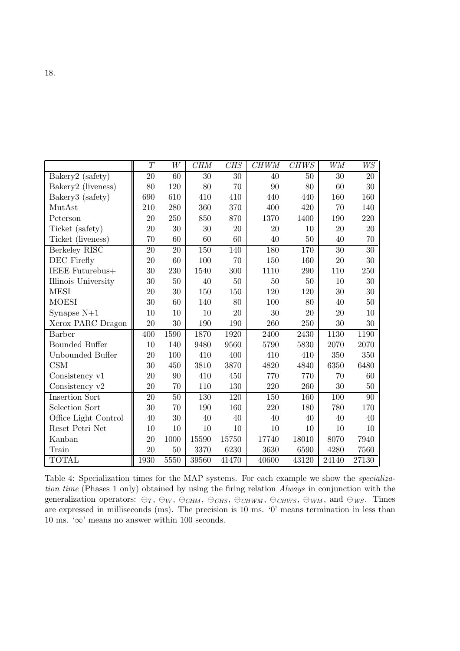|                       | $\overline{T}$ | W    | <b>CHM</b> | <b>CHS</b> | <b>CHWM</b> | <b>CHWS</b> | <b>WM</b> | WS    |
|-----------------------|----------------|------|------------|------------|-------------|-------------|-----------|-------|
| Bakery2 (safety)      | 20             | 60   | 30         | 30         | 40          | 50          | 30        | 20    |
| Bakery2 (liveness)    | 80             | 120  | 80         | 70         | 90          | 80          | 60        | 30    |
| Bakery3 (safety)      | 690            | 610  | 410        | 410        | 440         | 440         | 160       | 160   |
| MutAst                | 210            | 280  | 360        | 370        | 400         | 420         | 70        | 140   |
| Peterson              | 20             | 250  | 850        | 870        | 1370        | 1400        | 190       | 220   |
| Ticket (safety)       | 20             | 30   | 30         | 20         | 20          | 10          | 20        | 20    |
| Ticket (liveness)     | 70             | 60   | 60         | 60         | 40          | 50          | 40        | 70    |
| Berkeley RISC         | 20             | 20   | 150        | 140        | 180         | 170         | 30        | 30    |
| DEC Firefly           | 20             | 60   | 100        | 70         | 150         | 160         | 20        | 30    |
| IEEE Futurebus+       | 30             | 230  | 1540       | 300        | 1110        | 290         | 110       | 250   |
| Illinois University   | 30             | 50   | 40         | 50         | 50          | 50          | 10        | 30    |
| <b>MESI</b>           | 20             | 30   | 150        | 150        | 120         | 120         | 30        | 30    |
| <b>MOESI</b>          | 30             | 60   | 140        | 80         | 100         | 80          | 40        | 50    |
| Synapse $N+1$         | 10             | 10   | 10         | 20         | 30          | 20          | 20        | 10    |
| Xerox PARC Dragon     | 20             | 30   | 190        | 190        | 260         | 250         | 30        | 30    |
| Barber                | 400            | 1590 | 1870       | 1920       | 2400        | 2430        | 1130      | 1190  |
| <b>Bounded Buffer</b> | 10             | 140  | 9480       | 9560       | 5790        | 5830        | 2070      | 2070  |
| Unbounded Buffer      | 20             | 100  | 410        | 400        | 410         | 410         | 350       | 350   |
| CSM                   | 30             | 450  | 3810       | 3870       | 4820        | 4840        | 6350      | 6480  |
| Consistency v1        | 20             | 90   | 410        | 450        | 770         | 770         | 70        | 60    |
| Consistency $v2$      | 20             | 70   | 110        | 130        | 220         | 260         | 30        | 50    |
| <b>Insertion Sort</b> | 20             | 50   | 130        | 120        | 150         | 160         | 100       | 90    |
| Selection Sort        | 30             | 70   | 190        | 160        | 220         | 180         | 780       | 170   |
| Office Light Control  | 40             | 30   | 40         | 40         | 40          | 40          | 40        | 40    |
| Reset Petri Net       | 10             | 10   | 10         | 10         | 10          | 10          | 10        | 10    |
| Kanban                | 20             | 1000 | 15590      | 15750      | 17740       | 18010       | 8070      | 7940  |
| Train                 | 20             | 50   | 3370       | 6230       | 3630        | 6590        | 4280      | 7560  |
| <b>TOTAL</b>          | 1930           | 5550 | 39560      | 41470      | 40600       | 43120       | 24140     | 27130 |

Table 4: Specialization times for the MAP systems. For each example we show the specialization time (Phases 1 only) obtained by using the firing relation Always in conjunction with the generalization operators:  $\ominus_T$ ,  $\ominus_{W}$ ,  $\ominus_{CHM}$ ,  $\ominus_{CHWM}$ ,  $\ominus_{CHWS}$ ,  $\ominus_{WM}$ , and  $\ominus_{WS}$ . Times are expressed in milliseconds (ms). The precision is 10 ms. '0' means termination in less than 10 ms. ' $\infty$ ' means no answer within 100 seconds.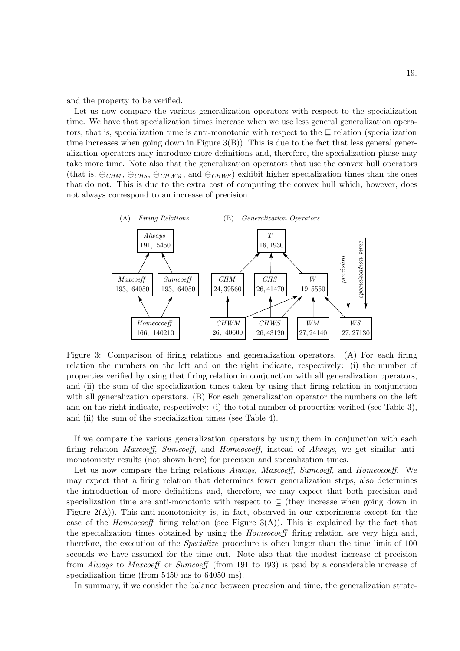and the property to be verified.

Let us now compare the various generalization operators with respect to the specialization time. We have that specialization times increase when we use less general generalization operators, that is, specialization time is anti-monotonic with respect to the  $\Box$  relation (specialization time increases when going down in Figure  $3(B)$ ). This is due to the fact that less general generalization operators may introduce more definitions and, therefore, the specialization phase may take more time. Note also that the generalization operators that use the convex hull operators (that is,  $\ominus_{CHM}$ ,  $\ominus_{CHW}$ ,  $\ominus_{CHW}$ , and  $\ominus_{CHWS}$ ) exhibit higher specialization times than the ones that do not. This is due to the extra cost of computing the convex hull which, however, does not always correspond to an increase of precision.



Figure 3: Comparison of firing relations and generalization operators. (A) For each firing relation the numbers on the left and on the right indicate, respectively: (i) the number of properties verified by using that firing relation in conjunction with all generalization operators, and (ii) the sum of the specialization times taken by using that firing relation in conjunction with all generalization operators. (B) For each generalization operator the numbers on the left and on the right indicate, respectively: (i) the total number of properties verified (see Table 3), and (ii) the sum of the specialization times (see Table 4).

If we compare the various generalization operators by using them in conjunction with each firing relation Maxcoeff, Sumcoeff, and Homeocoeff, instead of Always, we get similar antimonotonicity results (not shown here) for precision and specialization times.

Let us now compare the firing relations Always, Maxcoeff, Sumcoeff, and Homeocoeff. We may expect that a firing relation that determines fewer generalization steps, also determines the introduction of more definitions and, therefore, we may expect that both precision and specialization time are anti-monotonic with respect to  $\subseteq$  (they increase when going down in Figure  $2(A)$ ). This anti-monotonicity is, in fact, observed in our experiments except for the case of the *Homeocoeff* firing relation (see Figure  $3(A)$ ). This is explained by the fact that the specialization times obtained by using the Homeocoeff firing relation are very high and, therefore, the execution of the Specialize procedure is often longer than the time limit of 100 seconds we have assumed for the time out. Note also that the modest increase of precision from Always to Maxcoeff or Sumcoeff (from 191 to 193) is paid by a considerable increase of specialization time (from 5450 ms to 64050 ms).

In summary, if we consider the balance between precision and time, the generalization strate-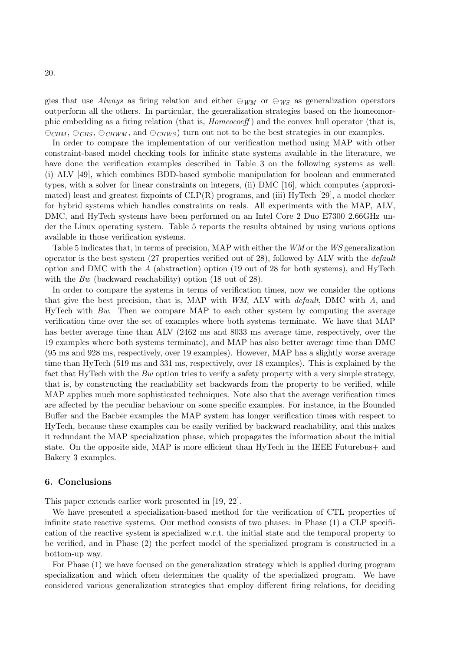gies that use Always as firing relation and either  $\ominus_{WM}$  or  $\ominus_{WS}$  as generalization operators outperform all the others. In particular, the generalization strategies based on the homeomorphic embedding as a firing relation (that is, *Homeocoeff*) and the convex hull operator (that is,  $\ominus$ CHM,  $\ominus$ CHS,  $\ominus$ CHWM, and  $\ominus$ CHWS) turn out not to be the best strategies in our examples.

In order to compare the implementation of our verification method using MAP with other constraint-based model checking tools for infinite state systems available in the literature, we have done the verification examples described in Table 3 on the following systems as well: (i) ALV [49], which combines BDD-based symbolic manipulation for boolean and enumerated types, with a solver for linear constraints on integers, (ii) DMC [16], which computes (approximated) least and greatest fixpoints of  $CLP(R)$  programs, and (iii) HyTech [29], a model checker for hybrid systems which handles constraints on reals. All experiments with the MAP, ALV, DMC, and HyTech systems have been performed on an Intel Core 2 Duo E7300 2.66GHz under the Linux operating system. Table 5 reports the results obtained by using various options available in those verification systems.

Table 5 indicates that, in terms of precision, MAP with either the WM or the WS generalization operator is the best system (27 properties verified out of 28), followed by ALV with the default option and DMC with the A (abstraction) option (19 out of 28 for both systems), and HyTech with the Bw (backward reachability) option (18 out of 28).

In order to compare the systems in terms of verification times, now we consider the options that give the best precision, that is, MAP with  $WM$ , ALV with *default*, DMC with  $A$ , and HyTech with  $Bw$ . Then we compare MAP to each other system by computing the average verification time over the set of examples where both systems terminate. We have that MAP has better average time than ALV (2462 ms and 8033 ms average time, respectively, over the 19 examples where both systems terminate), and MAP has also better average time than DMC (95 ms and 928 ms, respectively, over 19 examples). However, MAP has a slightly worse average time than HyTech (519 ms and 331 ms, respectively, over 18 examples). This is explained by the fact that HyTech with the Bw option tries to verify a safety property with a very simple strategy, that is, by constructing the reachability set backwards from the property to be verified, while MAP applies much more sophisticated techniques. Note also that the average verification times are affected by the peculiar behaviour on some specific examples. For instance, in the Bounded Buffer and the Barber examples the MAP system has longer verification times with respect to HyTech, because these examples can be easily verified by backward reachability, and this makes it redundant the MAP specialization phase, which propagates the information about the initial state. On the opposite side, MAP is more efficient than HyTech in the IEEE Futurebus+ and Bakery 3 examples.

#### 6. Conclusions

This paper extends earlier work presented in [19, 22].

We have presented a specialization-based method for the verification of CTL properties of infinite state reactive systems. Our method consists of two phases: in Phase (1) a CLP specification of the reactive system is specialized w.r.t. the initial state and the temporal property to be verified, and in Phase (2) the perfect model of the specialized program is constructed in a bottom-up way.

For Phase (1) we have focused on the generalization strategy which is applied during program specialization and which often determines the quality of the specialized program. We have considered various generalization strategies that employ different firing relations, for deciding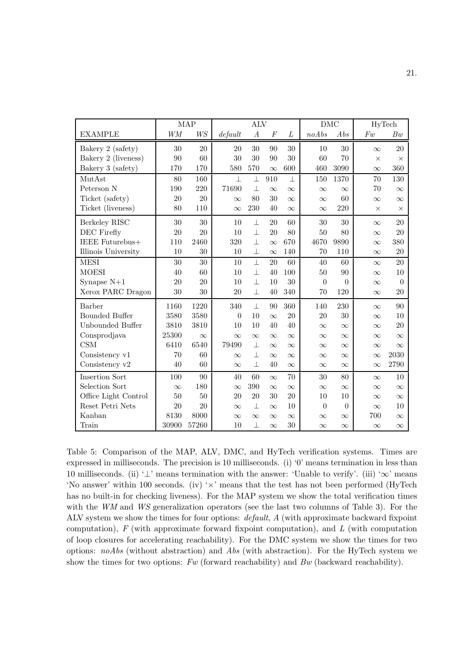|                       |           | <b>MAP</b>     | <b>ALV</b> |                  |                  | <b>DMC</b> |                | HyTech         |          |                |
|-----------------------|-----------|----------------|------------|------------------|------------------|------------|----------------|----------------|----------|----------------|
| <b>EXAMPLE</b>        | <b>WM</b> | W <sub>S</sub> | default    | $\boldsymbol{A}$ | $\boldsymbol{F}$ | L          | noAbs          | Abs            | $F_{w}$  | Bw             |
| Bakery 2 (safety)     | 30        | 20             | 20         | 30               | 90               | 30         | 10             | 30             | $\infty$ | 20             |
| Bakery 2 (liveness)   | 90        | 60             | 30         | 30               | 90               | 30         | 60             | 70             | $\times$ | $\times$       |
| Bakery 3 (safety)     | 170       | 170            | 580        | 570              | $\infty$         | 600        | 460            | 3090           | $\infty$ | 360            |
| MutAst                | 80        | 160            | $\perp$    | $\bot$           | 910              | $\perp$    | 150            | 1370           | 70       | 130            |
| Peterson N            | 190       | 220            | 71690      | $\perp$          | $\infty$         | $\infty$   | $\infty$       | $\infty$       | 70       | $\infty$       |
| Ticket (safety)       | 20        | 20             | $\infty$   | 80               | 30               | $\infty$   | $\infty$       | 60             | $\infty$ | $\infty$       |
| Ticket (liveness)     | 80        | 110            | $\infty$   | 230              | 40               | $\infty$   | $\infty$       | 220            | $\times$ | $\times$       |
| Berkeley RISC         | 30        | 30             | 10         | $\bot$           | 20               | 60         | 30             | 30             | $\infty$ | 20             |
| DEC Firefly           | 20        | 20             | 10         | $\perp$          | 20               | 80         | 50             | 80             | $\infty$ | 20             |
| IEEE Futurebus+       | $110\,$   | 2460           | 320        | $\perp$          | $\infty$         | 670        | 4670           | 9890           | $\infty$ | 380            |
| Illinois University   | 10        | 30             | 10         | $\perp$          | $\infty$         | 140        | 70             | 110            | $\infty$ | 20             |
| <b>MESI</b>           | 30        | 30             | 10         | $\perp$          | 20               | 60         | 40             | 60             | $\infty$ | 20             |
| <b>MOESI</b>          | 40        | 60             | 10         | $\perp$          | 40               | 100        | 50             | 90             | $\infty$ | 10             |
| Synapse $N+1$         | 20        | 20             | 10         | $\perp$          | 10               | 30         | $\overline{0}$ | $\overline{0}$ | $\infty$ | $\overline{0}$ |
| Xerox PARC Dragon     | 30        | 30             | 20         | $\perp$          | 40               | 340        | 70             | 120            | $\infty$ | 20             |
| Barber                | 1160      | 1220           | 340        | $\perp$          | 90               | 360        | 140            | 230            | $\infty$ | 90             |
| <b>Bounded Buffer</b> | 3580      | 3580           | $\theta$   | 10               | $\infty$         | 20         | 20             | 30             | $\infty$ | 10             |
| Unbounded Buffer      | 3810      | 3810           | 10         | 10               | 40               | 40         | $\infty$       | $\infty$       | $\infty$ | 20             |
| Consprodjava          | 25300     | $\infty$       | $\infty$   | $\infty$         | $\infty$         | $\infty$   | $\infty$       | $\infty$       | $\infty$ | $\infty$       |
| CSM                   | 6410      | 6540           | 79490      | 丄                | $\infty$         | $\infty$   | $\infty$       | $\infty$       | $\infty$ | $\infty$       |
| Consistency v1        | 70        | 60             | $\infty$   | $\bot$           | $\infty$         | $\infty$   | $\infty$       | $\infty$       | $\infty$ | 2030           |
| Consistency v2        | 40        | 60             | $\infty$   | $\perp$          | 40               | $\infty$   | $\infty$       | $\infty$       | $\infty$ | 2790           |
| <b>Insertion Sort</b> | 100       | 90             | 40         | 60               | $\infty$         | 70         | 30             | 80             | $\infty$ | 10             |
| Selection Sort        | $\infty$  | 180            | $\infty$   | $390\,$          | $\infty$         | $\infty$   | $\infty$       | $\infty$       | $\infty$ | $\infty$       |
| Office Light Control  | 50        | $50\,$         | 20         | $20\,$           | 30               | $20\,$     | 10             | 10             | $\infty$ | $\infty$       |
| Reset Petri Nets      | 20        | 20             | $\infty$   | $\perp$          | $\infty$         | 10         | $\overline{0}$ | $\theta$       | $\infty$ | 10             |
| Kanban                | 8130      | 8000           | $\infty$   | $\infty$         | $\infty$         | $\infty$   | $\infty$       | $\infty$       | 700      | $\infty$       |
| Train                 | 30900     | 57260          | 10         | $\perp$          | $\infty$         | 30         | $\infty$       | $\infty$       | $\infty$ | $\infty$       |

Table 5: Comparison of the MAP, ALV, DMC, and HyTech verification systems. Times are expressed in milliseconds. The precision is 10 milliseconds. (i) '0' means termination in less than 10 milliseconds. (ii) ' $\perp$ ' means termination with the answer: 'Unable to verify'. (iii) ' $\infty$ ' means 'No answer' within 100 seconds. (iv) ' $\times$ ' means that the test has not been performed (HyTech has no built-in for checking liveness). For the MAP system we show the total verification times with the WM and WS generalization operators (see the last two columns of Table 3). For the ALV system we show the times for four options: default, A (with approximate backward fixpoint computation),  $F$  (with approximate forward fixpoint computation), and  $L$  (with computation of loop closures for accelerating reachability). For the DMC system we show the times for two options:  $noAbs$  (without abstraction) and Abs (with abstraction). For the HyTech system we show the times for two options:  $Fw$  (forward reachability) and  $Bw$  (backward reachability).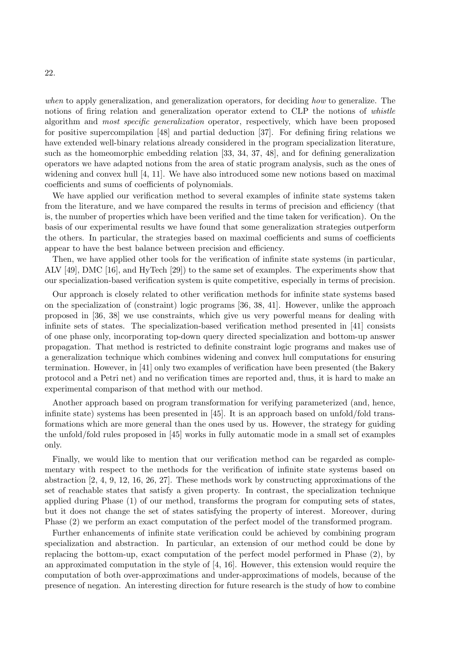when to apply generalization, and generalization operators, for deciding how to generalize. The notions of firing relation and generalization operator extend to CLP the notions of whistle algorithm and most specific generalization operator, respectively, which have been proposed for positive supercompilation [48] and partial deduction [37]. For defining firing relations we have extended well-binary relations already considered in the program specialization literature, such as the homeomorphic embedding relation [33, 34, 37, 48], and for defining generalization operators we have adapted notions from the area of static program analysis, such as the ones of widening and convex hull [4, 11]. We have also introduced some new notions based on maximal coefficients and sums of coefficients of polynomials.

We have applied our verification method to several examples of infinite state systems taken from the literature, and we have compared the results in terms of precision and efficiency (that is, the number of properties which have been verified and the time taken for verification). On the basis of our experimental results we have found that some generalization strategies outperform the others. In particular, the strategies based on maximal coefficients and sums of coefficients appear to have the best balance between precision and efficiency.

Then, we have applied other tools for the verification of infinite state systems (in particular, ALV [49], DMC [16], and HyTech [29]) to the same set of examples. The experiments show that our specialization-based verification system is quite competitive, especially in terms of precision.

Our approach is closely related to other verification methods for infinite state systems based on the specialization of (constraint) logic programs [36, 38, 41]. However, unlike the approach proposed in [36, 38] we use constraints, which give us very powerful means for dealing with infinite sets of states. The specialization-based verification method presented in [41] consists of one phase only, incorporating top-down query directed specialization and bottom-up answer propagation. That method is restricted to definite constraint logic programs and makes use of a generalization technique which combines widening and convex hull computations for ensuring termination. However, in [41] only two examples of verification have been presented (the Bakery protocol and a Petri net) and no verification times are reported and, thus, it is hard to make an experimental comparison of that method with our method.

Another approach based on program transformation for verifying parameterized (and, hence, infinite state) systems has been presented in [45]. It is an approach based on unfold/fold transformations which are more general than the ones used by us. However, the strategy for guiding the unfold/fold rules proposed in [45] works in fully automatic mode in a small set of examples only.

Finally, we would like to mention that our verification method can be regarded as complementary with respect to the methods for the verification of infinite state systems based on abstraction  $[2, 4, 9, 12, 16, 26, 27]$ . These methods work by constructing approximations of the set of reachable states that satisfy a given property. In contrast, the specialization technique applied during Phase (1) of our method, transforms the program for computing sets of states, but it does not change the set of states satisfying the property of interest. Moreover, during Phase (2) we perform an exact computation of the perfect model of the transformed program.

Further enhancements of infinite state verification could be achieved by combining program specialization and abstraction. In particular, an extension of our method could be done by replacing the bottom-up, exact computation of the perfect model performed in Phase (2), by an approximated computation in the style of [4, 16]. However, this extension would require the computation of both over-approximations and under-approximations of models, because of the presence of negation. An interesting direction for future research is the study of how to combine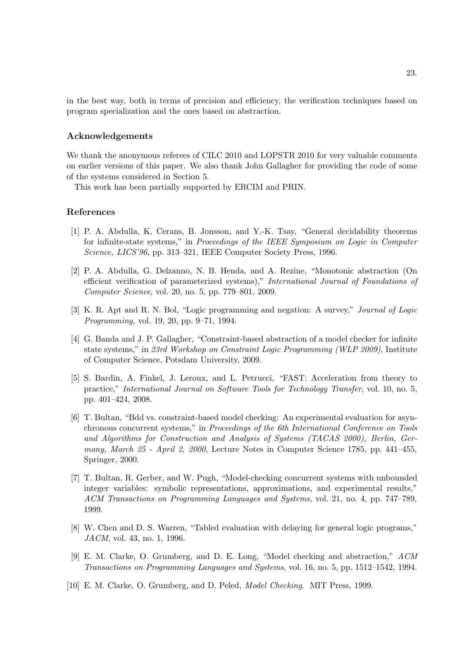in the best way, both in terms of precision and efficiency, the verification techniques based on program specialization and the ones based on abstraction.

#### Acknowledgements

We thank the anonymous referees of CILC 2010 and LOPSTR 2010 for very valuable comments on earlier versions of this paper. We also thank John Gallagher for providing the code of some of the systems considered in Section 5.

This work has been partially supported by ERCIM and PRIN.

## References

- [1] P. A. Abdulla, K. Cerans, B. Jonsson, and Y.-K. Tsay, "General decidability theorems for infinite-state systems," in Proceedings of the IEEE Symposium on Logic in Computer Science, LICS'96, pp. 313–321, IEEE Computer Society Press, 1996.
- [2] P. A. Abdulla, G. Delzanno, N. B. Henda, and A. Rezine, "Monotonic abstraction (On efficient verification of parameterized systems)," International Journal of Foundations of Computer Science, vol. 20, no. 5, pp. 779–801, 2009.
- [3] K. R. Apt and R. N. Bol, "Logic programming and negation: A survey," Journal of Logic Programming, vol. 19, 20, pp. 9–71, 1994.
- [4] G. Banda and J. P. Gallagher, "Constraint-based abstraction of a model checker for infinite state systems," in 23rd Workshop on Constraint Logic Programming (WLP 2009), Institute of Computer Science, Potsdam University, 2009.
- [5] S. Bardin, A. Finkel, J. Leroux, and L. Petrucci, "FAST: Acceleration from theory to practice," International Journal on Software Tools for Technology Transfer, vol. 10, no. 5, pp. 401–424, 2008.
- [6] T. Bultan, "Bdd vs. constraint-based model checking: An experimental evaluation for asynchronous concurrent systems," in Proceedings of the 6th International Conference on Tools and Algorithms for Construction and Analysis of Systems (TACAS 2000), Berlin, Germany, March 25 - April 2, 2000, Lecture Notes in Computer Science 1785, pp. 441–455, Springer, 2000.
- [7] T. Bultan, R. Gerber, and W. Pugh, "Model-checking concurrent systems with unbounded integer variables: symbolic representations, approximations, and experimental results," ACM Transactions on Programming Languages and Systems, vol. 21, no. 4, pp. 747–789, 1999.
- [8] W. Chen and D. S. Warren, "Tabled evaluation with delaying for general logic programs," JACM, vol. 43, no. 1, 1996.
- [9] E. M. Clarke, O. Grumberg, and D. E. Long, "Model checking and abstraction," ACM Transactions on Programming Languages and Systems, vol. 16, no. 5, pp. 1512–1542, 1994.
- [10] E. M. Clarke, O. Grumberg, and D. Peled, Model Checking. MIT Press, 1999.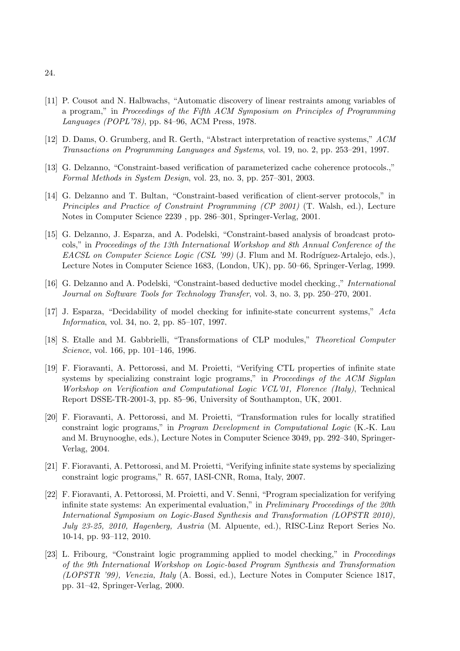- [11] P. Cousot and N. Halbwachs, "Automatic discovery of linear restraints among variables of a program," in Proceedings of the Fifth ACM Symposium on Principles of Programming Languages (POPL'78), pp. 84–96, ACM Press, 1978.
- [12] D. Dams, O. Grumberg, and R. Gerth, "Abstract interpretation of reactive systems," ACM Transactions on Programming Languages and Systems, vol. 19, no. 2, pp. 253–291, 1997.
- [13] G. Delzanno, "Constraint-based verification of parameterized cache coherence protocols.," Formal Methods in System Design, vol. 23, no. 3, pp. 257–301, 2003.
- [14] G. Delzanno and T. Bultan, "Constraint-based verification of client-server protocols," in Principles and Practice of Constraint Programming (CP 2001) (T. Walsh, ed.), Lecture Notes in Computer Science 2239 , pp. 286–301, Springer-Verlag, 2001.
- [15] G. Delzanno, J. Esparza, and A. Podelski, "Constraint-based analysis of broadcast protocols," in Proceedings of the 13th International Workshop and 8th Annual Conference of the EACSL on Computer Science Logic (CSL '99) (J. Flum and M. Rodríguez-Artalejo, eds.), Lecture Notes in Computer Science 1683, (London, UK), pp. 50–66, Springer-Verlag, 1999.
- [16] G. Delzanno and A. Podelski, "Constraint-based deductive model checking.," International Journal on Software Tools for Technology Transfer, vol. 3, no. 3, pp. 250–270, 2001.
- [17] J. Esparza, "Decidability of model checking for infinite-state concurrent systems," Acta Informatica, vol. 34, no. 2, pp. 85–107, 1997.
- [18] S. Etalle and M. Gabbrielli, "Transformations of CLP modules," Theoretical Computer Science, vol. 166, pp. 101–146, 1996.
- [19] F. Fioravanti, A. Pettorossi, and M. Proietti, "Verifying CTL properties of infinite state systems by specializing constraint logic programs," in Proceedings of the ACM Sigplan Workshop on Verification and Computational Logic VCL'01, Florence (Italy), Technical Report DSSE-TR-2001-3, pp. 85–96, University of Southampton, UK, 2001.
- [20] F. Fioravanti, A. Pettorossi, and M. Proietti, "Transformation rules for locally stratified constraint logic programs," in Program Development in Computational Logic (K.-K. Lau and M. Bruynooghe, eds.), Lecture Notes in Computer Science 3049, pp. 292–340, Springer-Verlag, 2004.
- [21] F. Fioravanti, A. Pettorossi, and M. Proietti, "Verifying infinite state systems by specializing constraint logic programs," R. 657, IASI-CNR, Roma, Italy, 2007.
- [22] F. Fioravanti, A. Pettorossi, M. Proietti, and V. Senni, "Program specialization for verifying infinite state systems: An experimental evaluation," in *Preliminary Proceedings of the 20th* International Symposium on Logic-Based Synthesis and Transformation (LOPSTR 2010), July 23-25, 2010, Hagenberg, Austria (M. Alpuente, ed.), RISC-Linz Report Series No. 10-14, pp. 93–112, 2010.
- [23] L. Fribourg, "Constraint logic programming applied to model checking," in Proceedings of the 9th International Workshop on Logic-based Program Synthesis and Transformation (LOPSTR '99), Venezia, Italy (A. Bossi, ed.), Lecture Notes in Computer Science 1817, pp. 31–42, Springer-Verlag, 2000.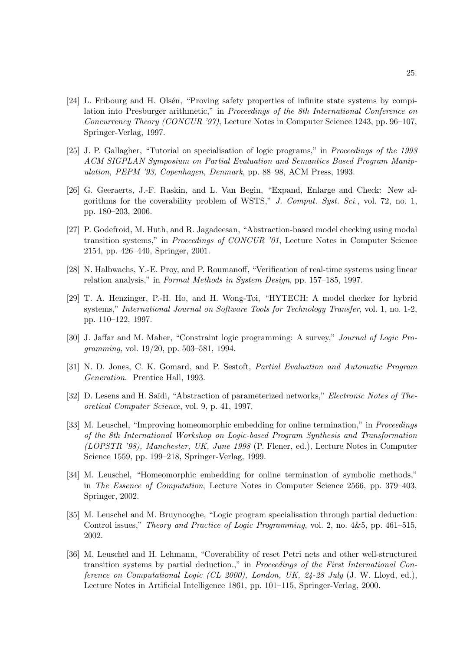- [24] L. Fribourg and H. Olsén, "Proving safety properties of infinite state systems by compilation into Presburger arithmetic," in Proceedings of the 8th International Conference on Concurrency Theory (CONCUR '97), Lecture Notes in Computer Science 1243, pp. 96–107, Springer-Verlag, 1997.
- [25] J. P. Gallagher, "Tutorial on specialisation of logic programs," in Proceedings of the 1993 ACM SIGPLAN Symposium on Partial Evaluation and Semantics Based Program Manipulation, PEPM '93, Copenhagen, Denmark, pp. 88–98, ACM Press, 1993.
- [26] G. Geeraerts, J.-F. Raskin, and L. Van Begin, "Expand, Enlarge and Check: New algorithms for the coverability problem of WSTS," J. Comput. Syst. Sci., vol. 72, no. 1, pp. 180–203, 2006.
- [27] P. Godefroid, M. Huth, and R. Jagadeesan, "Abstraction-based model checking using modal transition systems," in Proceedings of CONCUR '01, Lecture Notes in Computer Science 2154, pp. 426–440, Springer, 2001.
- [28] N. Halbwachs, Y.-E. Proy, and P. Roumanoff, "Verification of real-time systems using linear relation analysis," in Formal Methods in System Design, pp. 157–185, 1997.
- [29] T. A. Henzinger, P.-H. Ho, and H. Wong-Toi, "HYTECH: A model checker for hybrid systems," International Journal on Software Tools for Technology Transfer, vol. 1, no. 1-2, pp. 110–122, 1997.
- [30] J. Jaffar and M. Maher, "Constraint logic programming: A survey," Journal of Logic Programming, vol. 19/20, pp. 503–581, 1994.
- [31] N. D. Jones, C. K. Gomard, and P. Sestoft, Partial Evaluation and Automatic Program Generation. Prentice Hall, 1993.
- [32] D. Lesens and H. Saïdi, "Abstraction of parameterized networks," Electronic Notes of Theoretical Computer Science, vol. 9, p. 41, 1997.
- [33] M. Leuschel, "Improving homeomorphic embedding for online termination," in Proceedings of the 8th International Workshop on Logic-based Program Synthesis and Transformation (LOPSTR '98), Manchester, UK, June 1998 (P. Flener, ed.), Lecture Notes in Computer Science 1559, pp. 199–218, Springer-Verlag, 1999.
- [34] M. Leuschel, "Homeomorphic embedding for online termination of symbolic methods," in The Essence of Computation, Lecture Notes in Computer Science 2566, pp. 379–403, Springer, 2002.
- [35] M. Leuschel and M. Bruynooghe, "Logic program specialisation through partial deduction: Control issues," Theory and Practice of Logic Programming, vol. 2, no. 4&5, pp. 461–515, 2002.
- [36] M. Leuschel and H. Lehmann, "Coverability of reset Petri nets and other well-structured transition systems by partial deduction.," in Proceedings of the First International Conference on Computational Logic (CL 2000), London, UK, 24-28 July (J. W. Lloyd, ed.), Lecture Notes in Artificial Intelligence 1861, pp. 101–115, Springer-Verlag, 2000.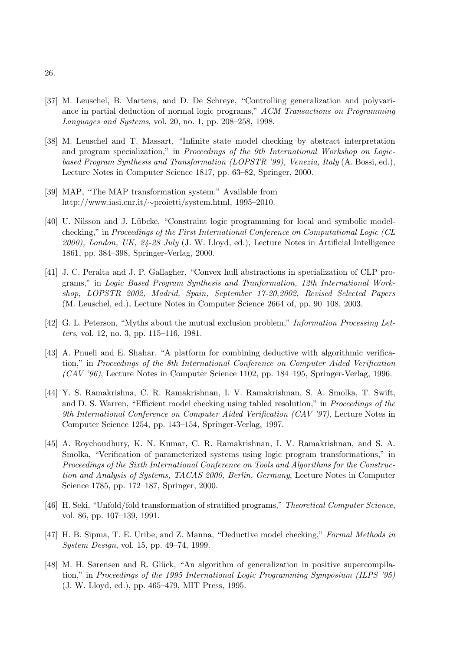- [37] M. Leuschel, B. Martens, and D. De Schreye, "Controlling generalization and polyvariance in partial deduction of normal logic programs," ACM Transactions on Programming Languages and Systems, vol. 20, no. 1, pp. 208–258, 1998.
- [38] M. Leuschel and T. Massart, "Infinite state model checking by abstract interpretation and program specialization," in Proceedings of the 9th International Workshop on Logicbased Program Synthesis and Transformation (LOPSTR '99), Venezia, Italy (A. Bossi, ed.), Lecture Notes in Computer Science 1817, pp. 63–82, Springer, 2000.
- [39] MAP, "The MAP transformation system." Available from http://www.iasi.cnr.it/∼proietti/system.html, 1995–2010.
- [40] U. Nilsson and J. Lübcke, "Constraint logic programming for local and symbolic modelchecking," in Proceedings of the First International Conference on Computational Logic (CL  $2000$ ), London, UK,  $24-28$  July (J. W. Lloyd, ed.), Lecture Notes in Artificial Intelligence 1861, pp. 384–398, Springer-Verlag, 2000.
- [41] J. C. Peralta and J. P. Gallagher, "Convex hull abstractions in specialization of CLP programs," in Logic Based Program Synthesis and Tranformation, 12th International Workshop, LOPSTR 2002, Madrid, Spain, September 17-20,2002, Revised Selected Papers (M. Leuschel, ed.), Lecture Notes in Computer Science 2664 of, pp. 90–108, 2003.
- [42] G. L. Peterson, "Myths about the mutual exclusion problem," Information Processing Letters, vol. 12, no. 3, pp. 115–116, 1981.
- [43] A. Pnueli and E. Shahar, "A platform for combining deductive with algorithmic verification," in Proceedings of the 8th International Conference on Computer Aided Verification  $(CAV'36)$ , Lecture Notes in Computer Science 1102, pp. 184–195, Springer-Verlag, 1996.
- [44] Y. S. Ramakrishna, C. R. Ramakrishnan, I. V. Ramakrishnan, S. A. Smolka, T. Swift, and D. S. Warren, "Efficient model checking using tabled resolution," in Proceedings of the 9th International Conference on Computer Aided Verification (CAV '97), Lecture Notes in Computer Science 1254, pp. 143–154, Springer-Verlag, 1997.
- [45] A. Roychoudhury, K. N. Kumar, C. R. Ramakrishnan, I. V. Ramakrishnan, and S. A. Smolka, "Verification of parameterized systems using logic program transformations," in Proceedings of the Sixth International Conference on Tools and Algorithms for the Construction and Analysis of Systems, TACAS 2000, Berlin, Germany, Lecture Notes in Computer Science 1785, pp. 172–187, Springer, 2000.
- [46] H. Seki, "Unfold/fold transformation of stratified programs," Theoretical Computer Science, vol. 86, pp. 107–139, 1991.
- [47] H. B. Sipma, T. E. Uribe, and Z. Manna, "Deductive model checking," Formal Methods in System Design, vol. 15, pp. 49–74, 1999.
- [48] M. H. Sørensen and R. Glück, "An algorithm of generalization in positive supercompilation," in Proceedings of the 1995 International Logic Programming Symposium (ILPS '95) (J. W. Lloyd, ed.), pp. 465–479, MIT Press, 1995.